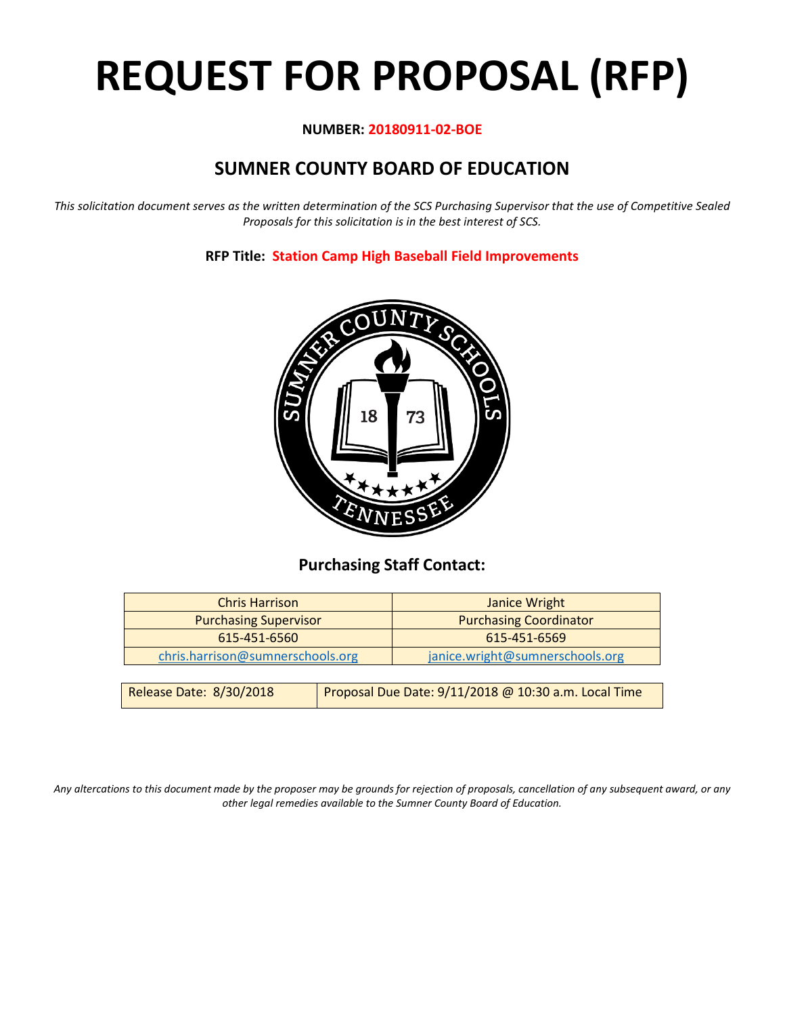# **REQUEST FOR PROPOSAL (RFP)**

# **NUMBER: 20180911-02-BOE**

# **SUMNER COUNTY BOARD OF EDUCATION**

*This solicitation document serves as the written determination of the SCS Purchasing Supervisor that the use of Competitive Sealed Proposals for this solicitation is in the best interest of SCS.*

# **RFP Title: Station Camp High Baseball Field Improvements**



# **Purchasing Staff Contact:**

| <b>Chris Harrison</b>            |                                                      | Janice Wright                   |
|----------------------------------|------------------------------------------------------|---------------------------------|
| <b>Purchasing Supervisor</b>     |                                                      | <b>Purchasing Coordinator</b>   |
| 615-451-6560                     |                                                      | 615-451-6569                    |
|                                  |                                                      |                                 |
| chris.harrison@sumnerschools.org |                                                      | janice.wright@sumnerschools.org |
|                                  |                                                      |                                 |
| Release Date: 8/30/2018          | Proposal Due Date: 9/11/2018 @ 10:30 a.m. Local Time |                                 |

*Any altercations to this document made by the proposer may be grounds for rejection of proposals, cancellation of any subsequent award, or any other legal remedies available to the Sumner County Board of Education.*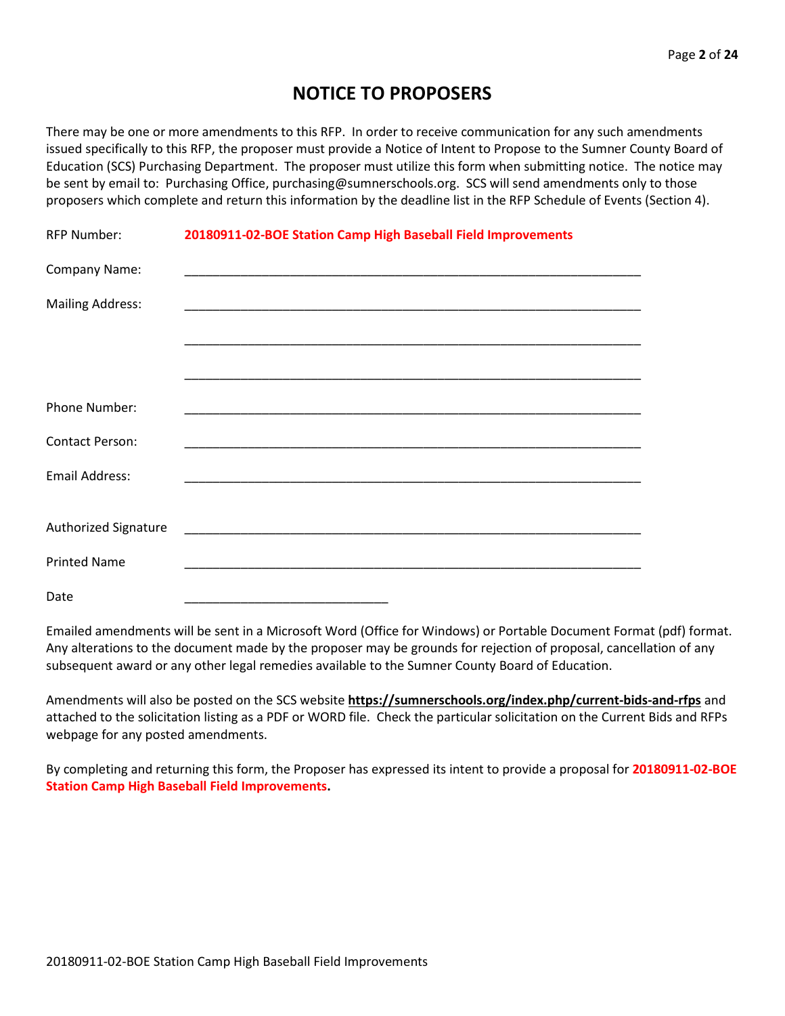# **NOTICE TO PROPOSERS**

There may be one or more amendments to this RFP. In order to receive communication for any such amendments issued specifically to this RFP, the proposer must provide a Notice of Intent to Propose to the Sumner County Board of Education (SCS) Purchasing Department. The proposer must utilize this form when submitting notice. The notice may be sent by email to: Purchasing Office, purchasing@sumnerschools.org. SCS will send amendments only to those proposers which complete and return this information by the deadline list in the RFP Schedule of Events (Section 4).

| <b>RFP Number:</b>      | 20180911-02-BOE Station Camp High Baseball Field Improvements |
|-------------------------|---------------------------------------------------------------|
| Company Name:           |                                                               |
| <b>Mailing Address:</b> |                                                               |
|                         |                                                               |
|                         |                                                               |
| Phone Number:           |                                                               |
| <b>Contact Person:</b>  |                                                               |
| Email Address:          |                                                               |
|                         |                                                               |
| Authorized Signature    |                                                               |
| <b>Printed Name</b>     |                                                               |
| Date                    |                                                               |

Emailed amendments will be sent in a Microsoft Word (Office for Windows) or Portable Document Format (pdf) format. Any alterations to the document made by the proposer may be grounds for rejection of proposal, cancellation of any subsequent award or any other legal remedies available to the Sumner County Board of Education.

Amendments will also be posted on the SCS website **https://sumnerschools.org/index.php/current-bids-and-rfps** and attached to the solicitation listing as a PDF or WORD file. Check the particular solicitation on the Current Bids and RFPs webpage for any posted amendments.

By completing and returning this form, the Proposer has expressed its intent to provide a proposal for **20180911-02-BOE Station Camp High Baseball Field Improvements.**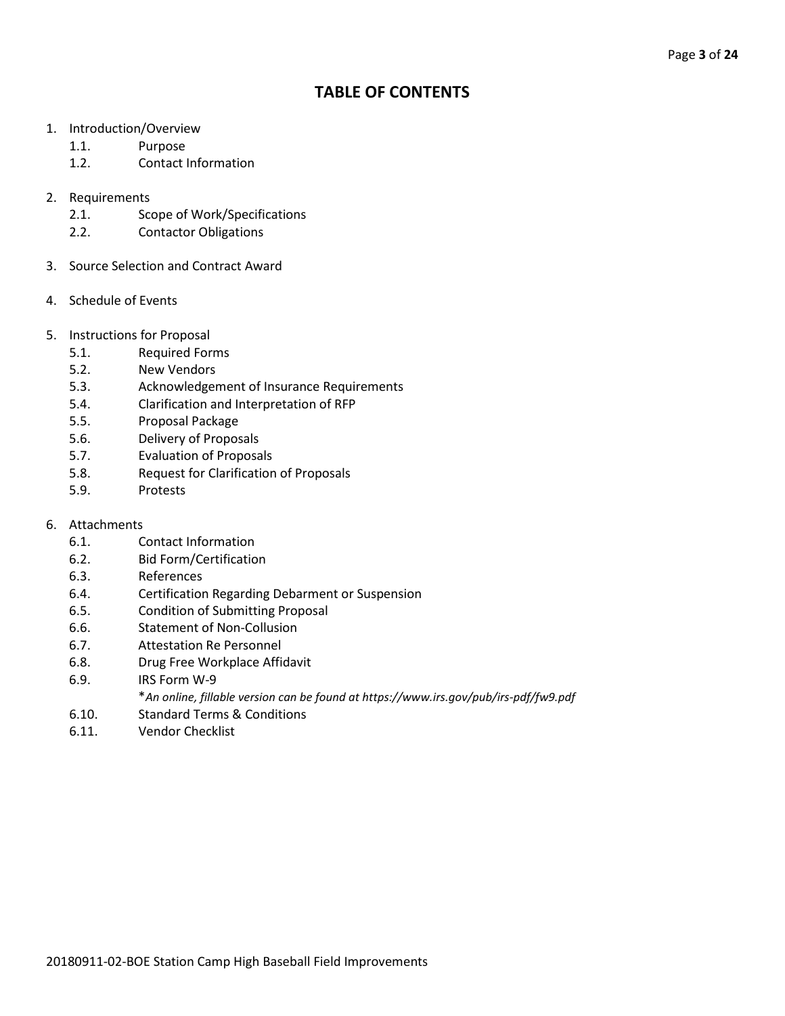# **TABLE OF CONTENTS**

- 1. Introduction/Overview
	- 1.1. Purpose
	- 1.2. Contact Information
- 2. Requirements
	- 2.1. Scope of Work/Specifications
	- 2.2. Contactor Obligations
- 3. Source Selection and Contract Award
- 4. Schedule of Events
- 5. Instructions for Proposal
	- 5.1. Required Forms
	- 5.2. New Vendors
	- 5.3. Acknowledgement of Insurance Requirements
	- 5.4. Clarification and Interpretation of RFP
	- 5.5. Proposal Package
	- 5.6. Delivery of Proposals
	- 5.7. Evaluation of Proposals
	- 5.8. Request for Clarification of Proposals
	- 5.9. Protests
- 6. Attachments
	- 6.1. Contact Information
	- 6.2. Bid Form/Certification
	- 6.3. References
	- 6.4. Certification Regarding Debarment or Suspension
	- 6.5. Condition of Submitting Proposal
	- 6.6. Statement of Non-Collusion
	- 6.7. Attestation Re Personnel
	- 6.8. Drug Free Workplace Affidavit
	- 6.9. IRS Form W-9
		- \**An online, fillable version can be found at https://www.irs.gov/pub/irs-pdf/fw9.pdf*
	- 6.10. Standard Terms & Conditions
	- 6.11. Vendor Checklist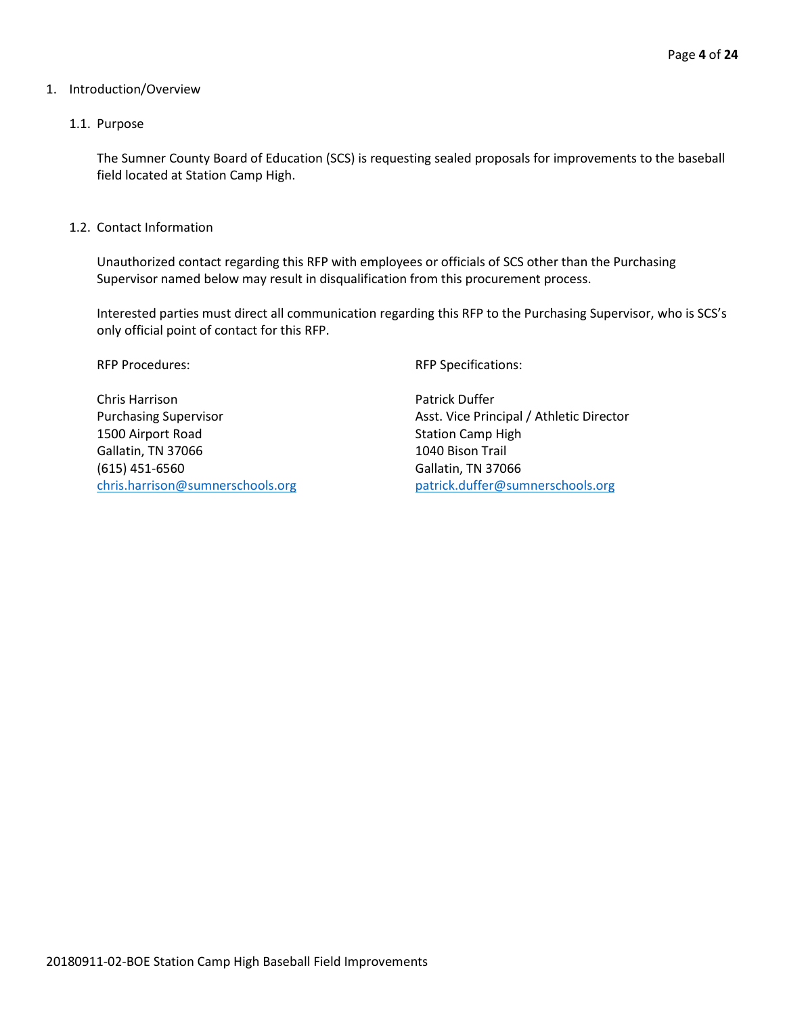#### 1. Introduction/Overview

#### 1.1. Purpose

The Sumner County Board of Education (SCS) is requesting sealed proposals for improvements to the baseball field located at Station Camp High.

1.2. Contact Information

Unauthorized contact regarding this RFP with employees or officials of SCS other than the Purchasing Supervisor named below may result in disqualification from this procurement process.

Interested parties must direct all communication regarding this RFP to the Purchasing Supervisor, who is SCS's only official point of contact for this RFP.

Chris Harrison **Patrick Duffer** 1500 Airport Road Station Camp High Gallatin, TN 37066 1040 Bison Trail (615) 451-6560 Gallatin, TN 37066 [chris.harrison@sumnerschools.org](mailto:chris.harrison@sumnerschools.org) [patrick.duffer@sumnerschools.org](mailto:patrick.duffer@sumnerschools.org)

RFP Procedures:  $RFP$  Specifications:

Purchasing Supervisor **Asset. Vice Principal / Athletic Director** Asst. Vice Principal / Athletic Director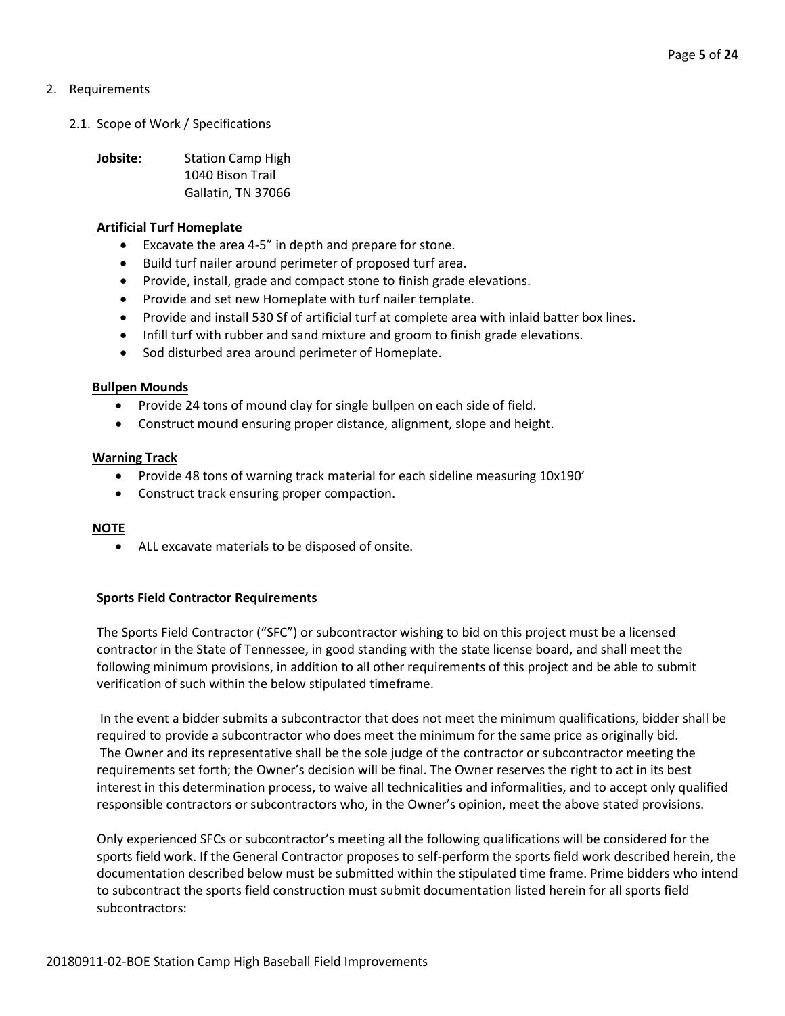# 2. Requirements

2.1. Scope of Work / Specifications

**Jobsite:** Station Camp High 1040 Bison Trail Gallatin, TN 37066

#### **Artificial Turf Homeplate**

- Excavate the area 4-5" in depth and prepare for stone.
- Build turf nailer around perimeter of proposed turf area.
- Provide, install, grade and compact stone to finish grade elevations.
- Provide and set new Homeplate with turf nailer template.
- Provide and install 530 Sf of artificial turf at complete area with inlaid batter box lines.
- Infill turf with rubber and sand mixture and groom to finish grade elevations.
- Sod disturbed area around perimeter of Homeplate.

#### **Bullpen Mounds**

- Provide 24 tons of mound clay for single bullpen on each side of field.
- Construct mound ensuring proper distance, alignment, slope and height.

#### **Warning Track**

- Provide 48 tons of warning track material for each sideline measuring 10x190'
- Construct track ensuring proper compaction.

#### **NOTE**

• ALL excavate materials to be disposed of onsite.

#### **Sports Field Contractor Requirements**

The Sports Field Contractor ("SFC") or subcontractor wishing to bid on this project must be a licensed contractor in the State of Tennessee, in good standing with the state license board, and shall meet the following minimum provisions, in addition to all other requirements of this project and be able to submit verification of such within the below stipulated timeframe.

In the event a bidder submits a subcontractor that does not meet the minimum qualifications, bidder shall be required to provide a subcontractor who does meet the minimum for the same price as originally bid. The Owner and its representative shall be the sole judge of the contractor or subcontractor meeting the requirements set forth; the Owner's decision will be final. The Owner reserves the right to act in its best interest in this determination process, to waive all technicalities and informalities, and to accept only qualified responsible contractors or subcontractors who, in the Owner's opinion, meet the above stated provisions.

Only experienced SFCs or subcontractor's meeting all the following qualifications will be considered for the sports field work. If the General Contractor proposes to self-perform the sports field work described herein, the documentation described below must be submitted within the stipulated time frame. Prime bidders who intend to subcontract the sports field construction must submit documentation listed herein for all sports field subcontractors: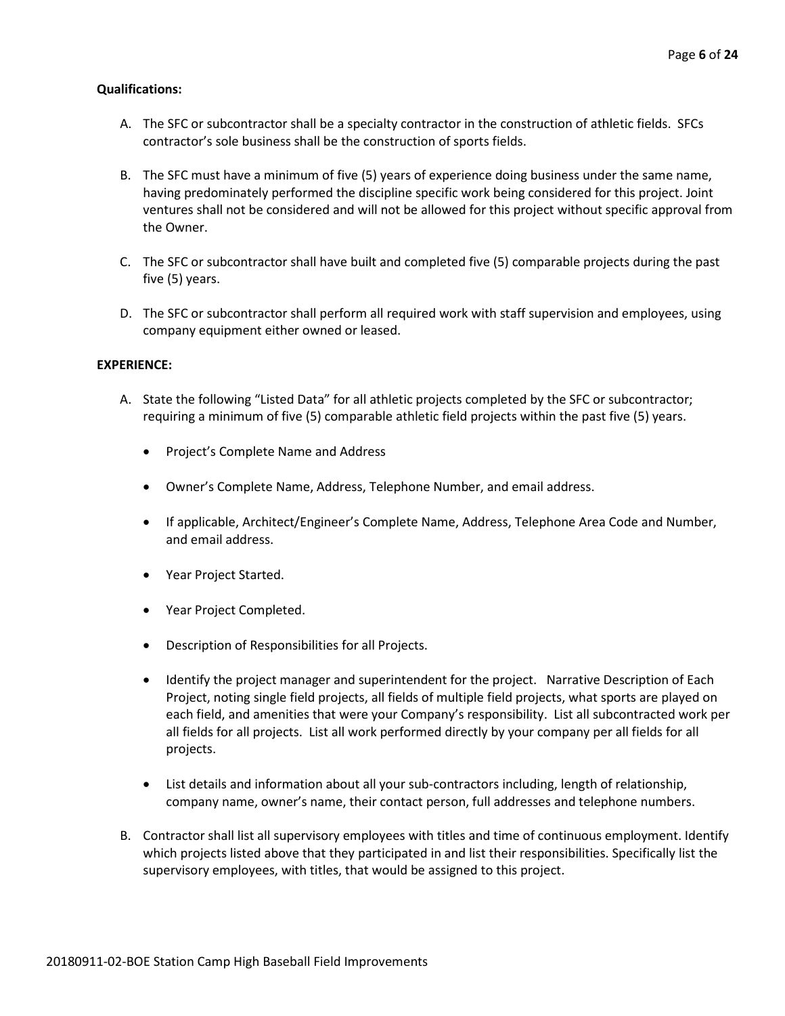# **Qualifications:**

- A. The SFC or subcontractor shall be a specialty contractor in the construction of athletic fields. SFCs contractor's sole business shall be the construction of sports fields.
- B. The SFC must have a minimum of five (5) years of experience doing business under the same name, having predominately performed the discipline specific work being considered for this project. Joint ventures shall not be considered and will not be allowed for this project without specific approval from the Owner.
- C. The SFC or subcontractor shall have built and completed five (5) comparable projects during the past five (5) years.
- D. The SFC or subcontractor shall perform all required work with staff supervision and employees, using company equipment either owned or leased.

# **EXPERIENCE:**

- A. State the following "Listed Data" for all athletic projects completed by the SFC or subcontractor; requiring a minimum of five (5) comparable athletic field projects within the past five (5) years.
	- Project's Complete Name and Address
	- Owner's Complete Name, Address, Telephone Number, and email address.
	- If applicable, Architect/Engineer's Complete Name, Address, Telephone Area Code and Number, and email address.
	- Year Project Started.
	- Year Project Completed.
	- Description of Responsibilities for all Projects.
	- Identify the project manager and superintendent for the project. Narrative Description of Each Project, noting single field projects, all fields of multiple field projects, what sports are played on each field, and amenities that were your Company's responsibility. List all subcontracted work per all fields for all projects. List all work performed directly by your company per all fields for all projects.
	- List details and information about all your sub-contractors including, length of relationship, company name, owner's name, their contact person, full addresses and telephone numbers.
- B. Contractor shall list all supervisory employees with titles and time of continuous employment. Identify which projects listed above that they participated in and list their responsibilities. Specifically list the supervisory employees, with titles, that would be assigned to this project.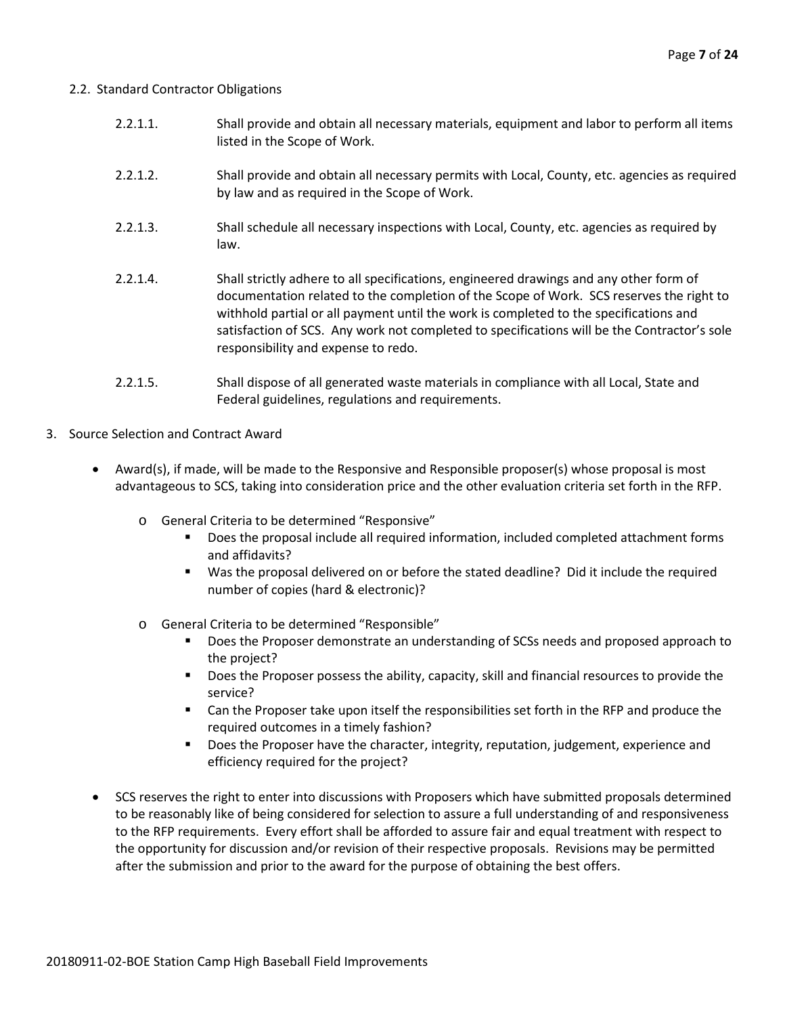#### 2.2. Standard Contractor Obligations

- 2.2.1.1. Shall provide and obtain all necessary materials, equipment and labor to perform all items listed in the Scope of Work.
- 2.2.1.2. Shall provide and obtain all necessary permits with Local, County, etc. agencies as required by law and as required in the Scope of Work.
- 2.2.1.3. Shall schedule all necessary inspections with Local, County, etc. agencies as required by law.
- 2.2.1.4. Shall strictly adhere to all specifications, engineered drawings and any other form of documentation related to the completion of the Scope of Work. SCS reserves the right to withhold partial or all payment until the work is completed to the specifications and satisfaction of SCS. Any work not completed to specifications will be the Contractor's sole responsibility and expense to redo.
- 2.2.1.5. Shall dispose of all generated waste materials in compliance with all Local, State and Federal guidelines, regulations and requirements.
- 3. Source Selection and Contract Award
	- Award(s), if made, will be made to the Responsive and Responsible proposer(s) whose proposal is most advantageous to SCS, taking into consideration price and the other evaluation criteria set forth in the RFP.
		- o General Criteria to be determined "Responsive"
			- Does the proposal include all required information, included completed attachment forms and affidavits?
			- Was the proposal delivered on or before the stated deadline? Did it include the required number of copies (hard & electronic)?
		- o General Criteria to be determined "Responsible"
			- Does the Proposer demonstrate an understanding of SCSs needs and proposed approach to the project?
			- **Does the Proposer possess the ability, capacity, skill and financial resources to provide the** service?
			- Can the Proposer take upon itself the responsibilities set forth in the RFP and produce the required outcomes in a timely fashion?
			- **Does the Proposer have the character, integrity, reputation, judgement, experience and** efficiency required for the project?
	- SCS reserves the right to enter into discussions with Proposers which have submitted proposals determined to be reasonably like of being considered for selection to assure a full understanding of and responsiveness to the RFP requirements. Every effort shall be afforded to assure fair and equal treatment with respect to the opportunity for discussion and/or revision of their respective proposals. Revisions may be permitted after the submission and prior to the award for the purpose of obtaining the best offers.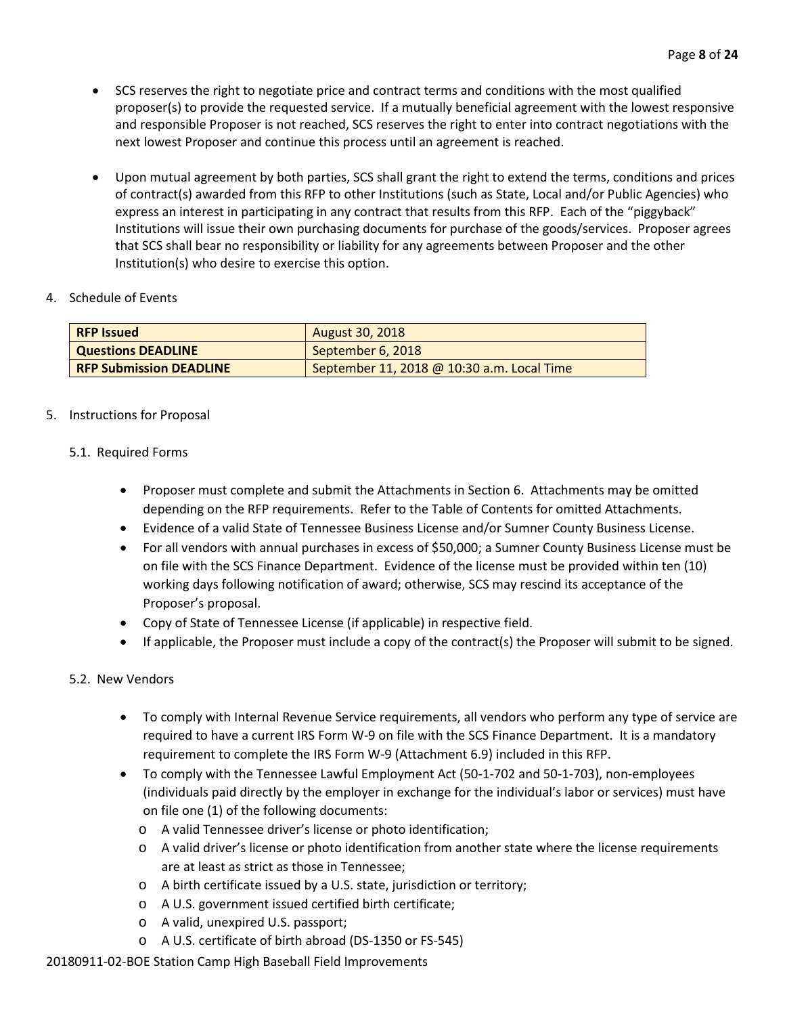- SCS reserves the right to negotiate price and contract terms and conditions with the most qualified proposer(s) to provide the requested service. If a mutually beneficial agreement with the lowest responsive and responsible Proposer is not reached, SCS reserves the right to enter into contract negotiations with the next lowest Proposer and continue this process until an agreement is reached.
- Upon mutual agreement by both parties, SCS shall grant the right to extend the terms, conditions and prices of contract(s) awarded from this RFP to other Institutions (such as State, Local and/or Public Agencies) who express an interest in participating in any contract that results from this RFP. Each of the "piggyback" Institutions will issue their own purchasing documents for purchase of the goods/services. Proposer agrees that SCS shall bear no responsibility or liability for any agreements between Proposer and the other Institution(s) who desire to exercise this option.

# 4. Schedule of Events

| <b>RFP Issued</b>              | <b>August 30, 2018</b>                     |
|--------------------------------|--------------------------------------------|
| <b>Questions DEADLINE</b>      | September 6, 2018                          |
| <b>RFP Submission DEADLINE</b> | September 11, 2018 @ 10:30 a.m. Local Time |

# 5. Instructions for Proposal

# 5.1. Required Forms

- Proposer must complete and submit the Attachments in Section 6. Attachments may be omitted depending on the RFP requirements. Refer to the Table of Contents for omitted Attachments.
- Evidence of a valid State of Tennessee Business License and/or Sumner County Business License.
- For all vendors with annual purchases in excess of \$50,000; a Sumner County Business License must be on file with the SCS Finance Department. Evidence of the license must be provided within ten (10) working days following notification of award; otherwise, SCS may rescind its acceptance of the Proposer's proposal.
- Copy of State of Tennessee License (if applicable) in respective field.
- If applicable, the Proposer must include a copy of the contract(s) the Proposer will submit to be signed.

# 5.2. New Vendors

- To comply with Internal Revenue Service requirements, all vendors who perform any type of service are required to have a current IRS Form W-9 on file with the SCS Finance Department. It is a mandatory requirement to complete the IRS Form W-9 (Attachment 6.9) included in this RFP.
- To comply with the Tennessee Lawful Employment Act (50-1-702 and 50-1-703), non-employees (individuals paid directly by the employer in exchange for the individual's labor or services) must have on file one (1) of the following documents:
	- o A valid Tennessee driver's license or photo identification;
	- o A valid driver's license or photo identification from another state where the license requirements are at least as strict as those in Tennessee;
	- o A birth certificate issued by a U.S. state, jurisdiction or territory;
	- o A U.S. government issued certified birth certificate;
	- o A valid, unexpired U.S. passport;
	- o A U.S. certificate of birth abroad (DS-1350 or FS-545)

20180911-02-BOE Station Camp High Baseball Field Improvements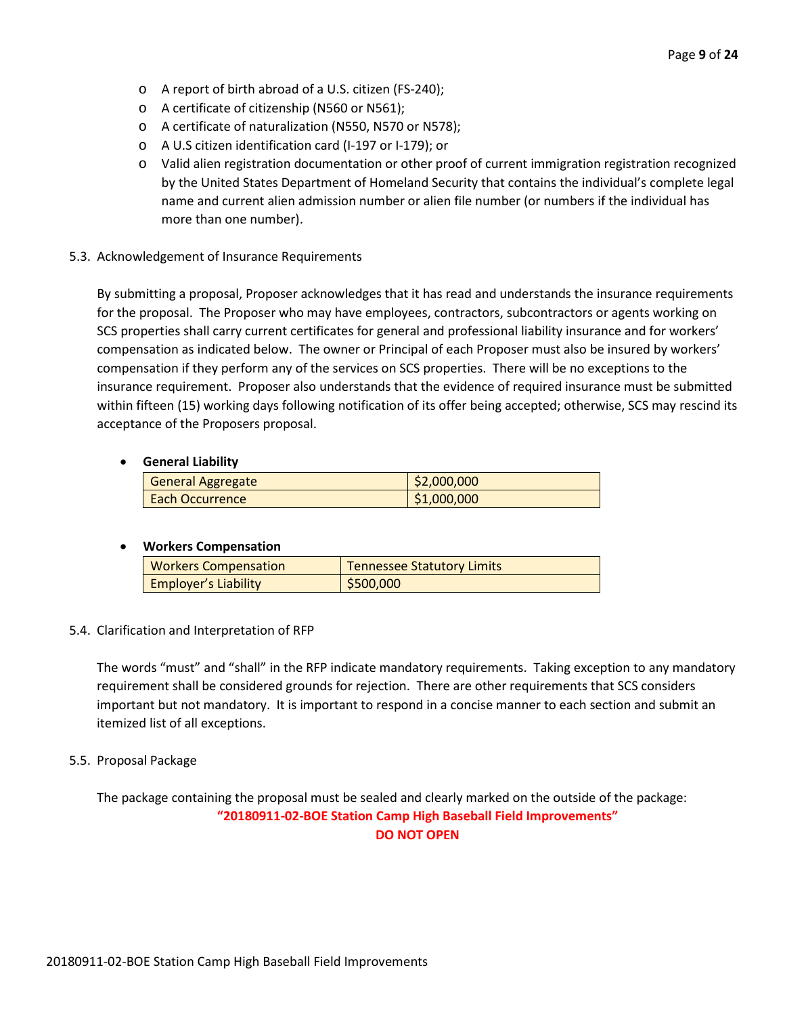- o A report of birth abroad of a U.S. citizen (FS-240);
- o A certificate of citizenship (N560 or N561);
- o A certificate of naturalization (N550, N570 or N578);
- o A U.S citizen identification card (I-197 or I-179); or
- o Valid alien registration documentation or other proof of current immigration registration recognized by the United States Department of Homeland Security that contains the individual's complete legal name and current alien admission number or alien file number (or numbers if the individual has more than one number).
- 5.3. Acknowledgement of Insurance Requirements

By submitting a proposal, Proposer acknowledges that it has read and understands the insurance requirements for the proposal. The Proposer who may have employees, contractors, subcontractors or agents working on SCS properties shall carry current certificates for general and professional liability insurance and for workers' compensation as indicated below. The owner or Principal of each Proposer must also be insured by workers' compensation if they perform any of the services on SCS properties. There will be no exceptions to the insurance requirement. Proposer also understands that the evidence of required insurance must be submitted within fifteen (15) working days following notification of its offer being accepted; otherwise, SCS may rescind its acceptance of the Proposers proposal.

# • **General Liability**

| <b>General Aggregate</b> | \$2,000,000 |
|--------------------------|-------------|
| <b>Each Occurrence</b>   | \$1,000,000 |

# • **Workers Compensation**

| <b>Workers Compensation</b> | <b>Tennessee Statutory Limits</b> |
|-----------------------------|-----------------------------------|
| <b>Employer's Liability</b> | \$500,000                         |

# 5.4. Clarification and Interpretation of RFP

The words "must" and "shall" in the RFP indicate mandatory requirements. Taking exception to any mandatory requirement shall be considered grounds for rejection. There are other requirements that SCS considers important but not mandatory. It is important to respond in a concise manner to each section and submit an itemized list of all exceptions.

# 5.5. Proposal Package

The package containing the proposal must be sealed and clearly marked on the outside of the package: **"20180911-02-BOE Station Camp High Baseball Field Improvements" DO NOT OPEN**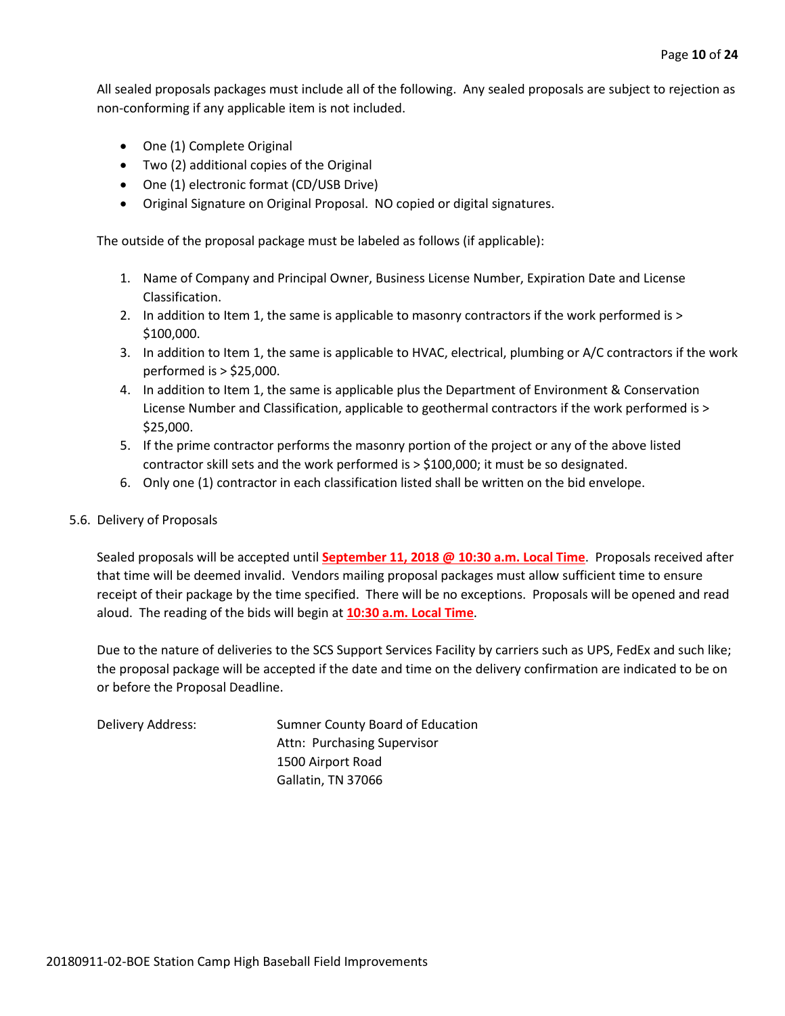All sealed proposals packages must include all of the following. Any sealed proposals are subject to rejection as non-conforming if any applicable item is not included.

- One (1) Complete Original
- Two (2) additional copies of the Original
- One (1) electronic format (CD/USB Drive)
- Original Signature on Original Proposal. NO copied or digital signatures.

The outside of the proposal package must be labeled as follows (if applicable):

- 1. Name of Company and Principal Owner, Business License Number, Expiration Date and License Classification.
- 2. In addition to Item 1, the same is applicable to masonry contractors if the work performed is > \$100,000.
- 3. In addition to Item 1, the same is applicable to HVAC, electrical, plumbing or A/C contractors if the work performed is > \$25,000.
- 4. In addition to Item 1, the same is applicable plus the Department of Environment & Conservation License Number and Classification, applicable to geothermal contractors if the work performed is > \$25,000.
- 5. If the prime contractor performs the masonry portion of the project or any of the above listed contractor skill sets and the work performed is > \$100,000; it must be so designated.
- 6. Only one (1) contractor in each classification listed shall be written on the bid envelope.

#### 5.6. Delivery of Proposals

Sealed proposals will be accepted until **September 11, 2018 @ 10:30 a.m. Local Time**. Proposals received after that time will be deemed invalid. Vendors mailing proposal packages must allow sufficient time to ensure receipt of their package by the time specified. There will be no exceptions. Proposals will be opened and read aloud. The reading of the bids will begin at **10:30 a.m. Local Time**.

Due to the nature of deliveries to the SCS Support Services Facility by carriers such as UPS, FedEx and such like; the proposal package will be accepted if the date and time on the delivery confirmation are indicated to be on or before the Proposal Deadline.

Delivery Address: Sumner County Board of Education Attn: Purchasing Supervisor 1500 Airport Road Gallatin, TN 37066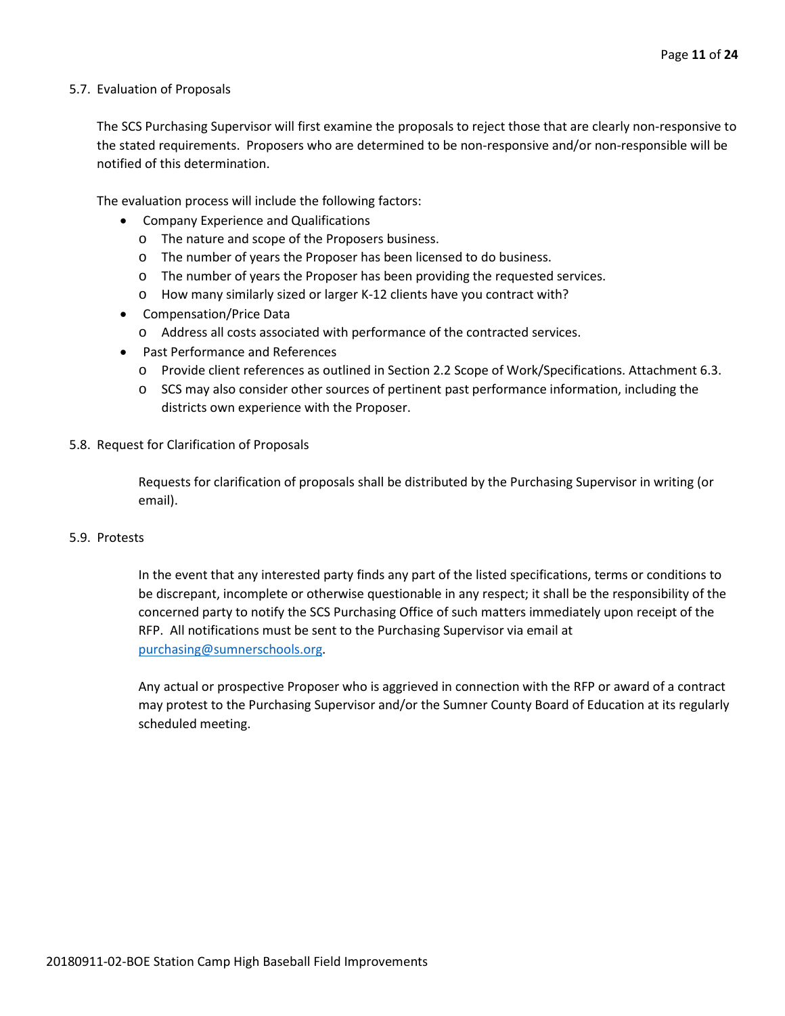#### 5.7. Evaluation of Proposals

The SCS Purchasing Supervisor will first examine the proposals to reject those that are clearly non-responsive to the stated requirements. Proposers who are determined to be non-responsive and/or non-responsible will be notified of this determination.

The evaluation process will include the following factors:

- Company Experience and Qualifications
	- o The nature and scope of the Proposers business.
	- o The number of years the Proposer has been licensed to do business.
	- o The number of years the Proposer has been providing the requested services.
	- o How many similarly sized or larger K-12 clients have you contract with?
- Compensation/Price Data
	- o Address all costs associated with performance of the contracted services.
- Past Performance and References
	- o Provide client references as outlined in Section 2.2 Scope of Work/Specifications. Attachment 6.3.
	- o SCS may also consider other sources of pertinent past performance information, including the districts own experience with the Proposer.

#### 5.8. Request for Clarification of Proposals

Requests for clarification of proposals shall be distributed by the Purchasing Supervisor in writing (or email).

#### 5.9. Protests

In the event that any interested party finds any part of the listed specifications, terms or conditions to be discrepant, incomplete or otherwise questionable in any respect; it shall be the responsibility of the concerned party to notify the SCS Purchasing Office of such matters immediately upon receipt of the RFP. All notifications must be sent to the Purchasing Supervisor via email at [purchasing@sumnerschools.org.](mailto:purchasing@sumnerschools.org)

Any actual or prospective Proposer who is aggrieved in connection with the RFP or award of a contract may protest to the Purchasing Supervisor and/or the Sumner County Board of Education at its regularly scheduled meeting.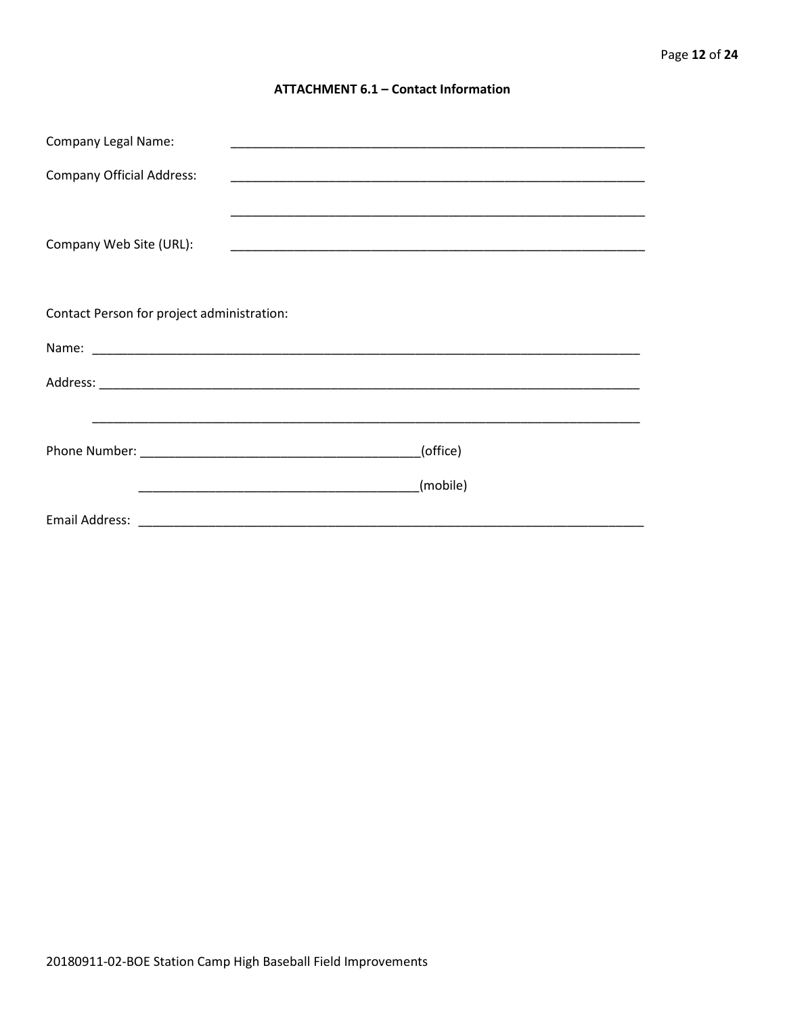### **ATTACHMENT 6.1 - Contact Information**

| <b>Company Legal Name:</b>                 |          |
|--------------------------------------------|----------|
| <b>Company Official Address:</b>           |          |
|                                            |          |
| Company Web Site (URL):                    |          |
|                                            |          |
| Contact Person for project administration: |          |
|                                            |          |
|                                            |          |
|                                            |          |
|                                            | (office) |
|                                            | (mobile) |
|                                            |          |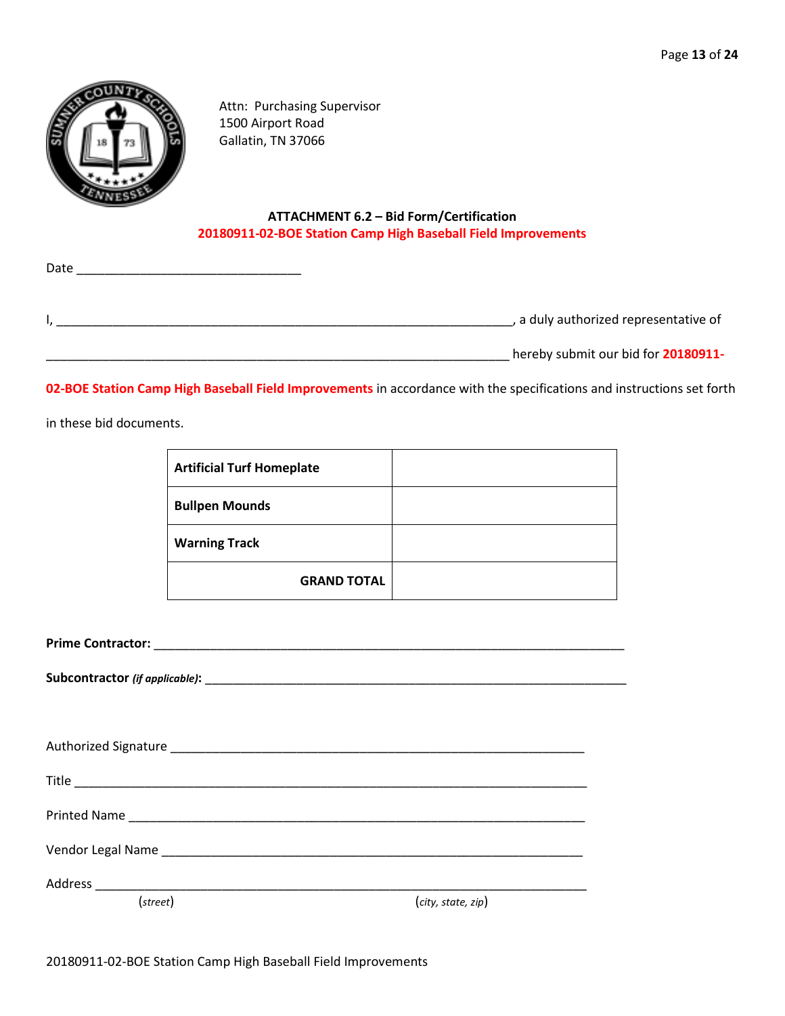

Date

Attn: Purchasing Supervisor 1500 Airport Road Gallatin, TN 37066

# **ATTACHMENT 6.2 – Bid Form/Certification 20180911-02-BOE Station Camp High Baseball Field Improvements**

|  | a duly authorized representative of |
|--|-------------------------------------|

\_\_\_\_\_\_\_\_\_\_\_\_\_\_\_\_\_\_\_\_\_\_\_\_\_\_\_\_\_\_\_\_\_\_\_\_\_\_\_\_\_\_\_\_\_\_\_\_\_\_\_\_\_\_\_\_\_\_\_\_\_\_\_\_\_\_ hereby submit our bid for **20180911-**

**02-BOE Station Camp High Baseball Field Improvements** in accordance with the specifications and instructions set forth

in these bid documents.

| <b>Artificial Turf Homeplate</b> |  |
|----------------------------------|--|
| <b>Bullpen Mounds</b>            |  |
| <b>Warning Track</b>             |  |
| <b>GRAND TOTAL</b>               |  |

**Prime Contractor:** \_\_\_\_\_\_\_\_\_\_\_\_\_\_\_\_\_\_\_\_\_\_\_\_\_\_\_\_\_\_\_\_\_\_\_\_\_\_\_\_\_\_\_\_\_\_\_\_\_\_\_\_\_\_\_\_\_\_\_\_\_\_\_\_\_\_\_

**Subcontractor** *(if applicable)***:** \_\_\_\_\_\_\_\_\_\_\_\_\_\_\_\_\_\_\_\_\_\_\_\_\_\_\_\_\_\_\_\_\_\_\_\_\_\_\_\_\_\_\_\_\_\_\_\_\_\_\_\_\_\_\_\_\_\_\_\_

| Vendor Legal Name National Contract of the Contract of the Contract of the Contract of the Contract of the Contract of the Contract of the Contract of the Contract of the Contract of the Contract of the Contract of the Con |                    |
|--------------------------------------------------------------------------------------------------------------------------------------------------------------------------------------------------------------------------------|--------------------|
|                                                                                                                                                                                                                                |                    |
| (street)                                                                                                                                                                                                                       | (city, state, zip) |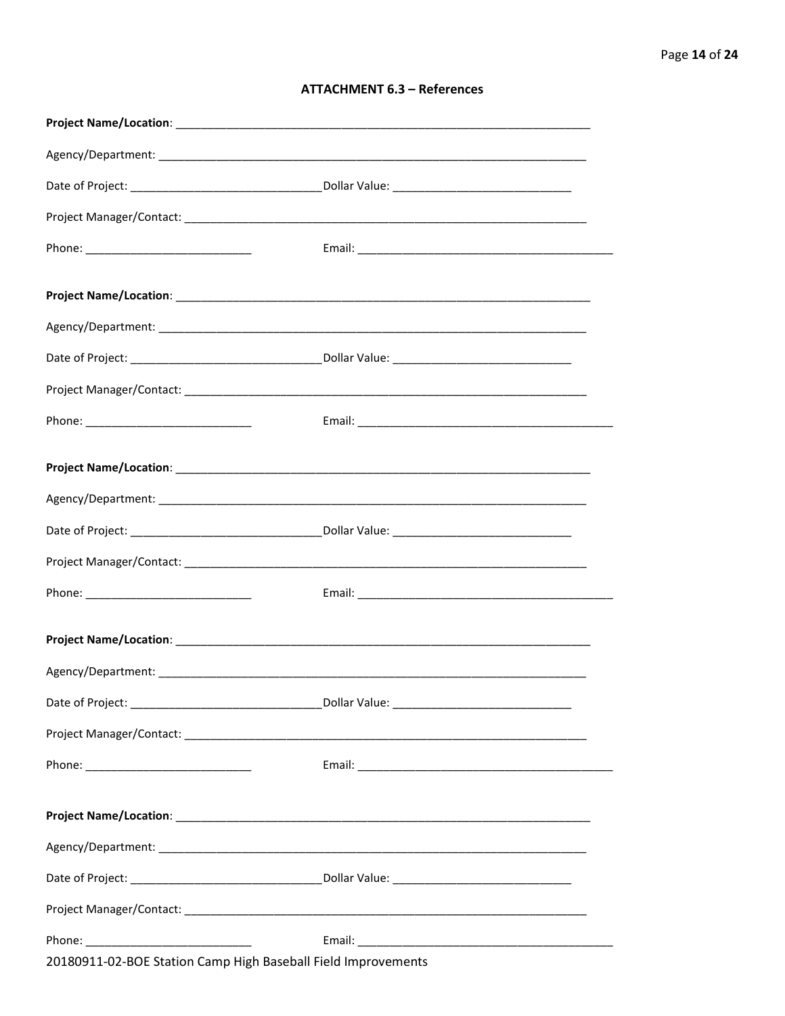# **ATTACHMENT 6.3 - References**

| Project Name/Location: Name and Security and Security and Security and Security and Security and Security and |  |
|---------------------------------------------------------------------------------------------------------------|--|
|                                                                                                               |  |
|                                                                                                               |  |
|                                                                                                               |  |
|                                                                                                               |  |
|                                                                                                               |  |
|                                                                                                               |  |
|                                                                                                               |  |
|                                                                                                               |  |
|                                                                                                               |  |
|                                                                                                               |  |
| 20180911-02-BOE Station Camp High Baseball Field Improvements                                                 |  |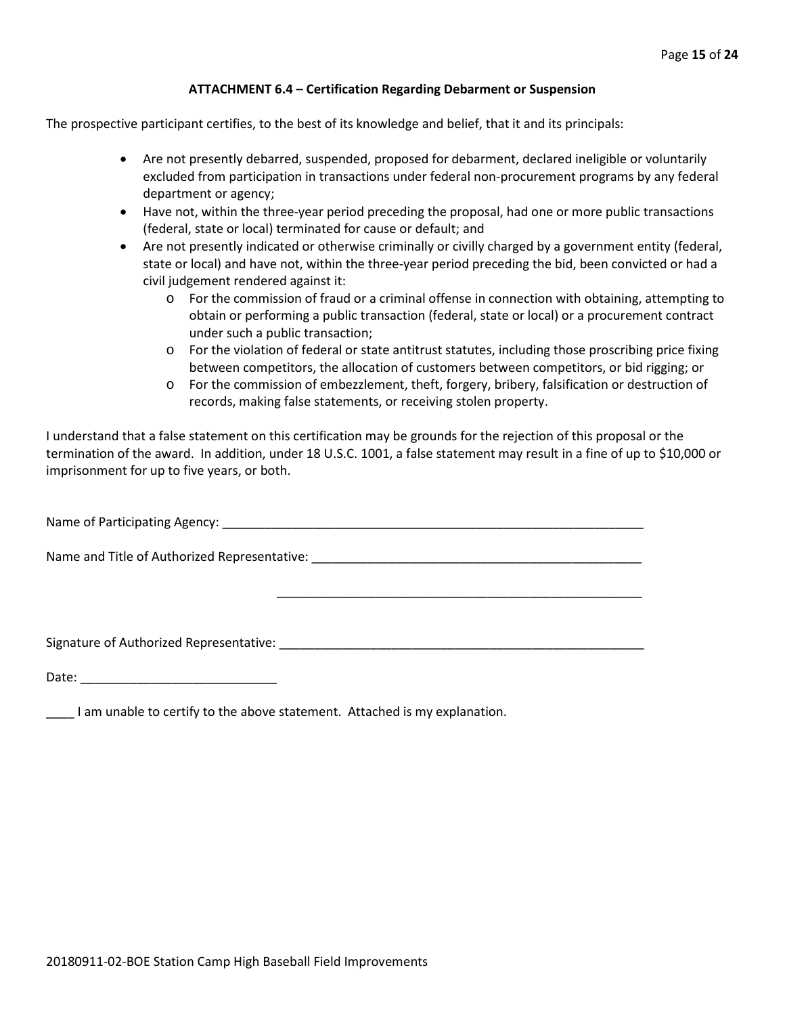#### **ATTACHMENT 6.4 – Certification Regarding Debarment or Suspension**

The prospective participant certifies, to the best of its knowledge and belief, that it and its principals:

- Are not presently debarred, suspended, proposed for debarment, declared ineligible or voluntarily excluded from participation in transactions under federal non-procurement programs by any federal department or agency;
- Have not, within the three-year period preceding the proposal, had one or more public transactions (federal, state or local) terminated for cause or default; and
- Are not presently indicated or otherwise criminally or civilly charged by a government entity (federal, state or local) and have not, within the three-year period preceding the bid, been convicted or had a civil judgement rendered against it:
	- $\circ$  For the commission of fraud or a criminal offense in connection with obtaining, attempting to obtain or performing a public transaction (federal, state or local) or a procurement contract under such a public transaction;
	- o For the violation of federal or state antitrust statutes, including those proscribing price fixing between competitors, the allocation of customers between competitors, or bid rigging; or
	- o For the commission of embezzlement, theft, forgery, bribery, falsification or destruction of records, making false statements, or receiving stolen property.

\_\_\_\_\_\_\_\_\_\_\_\_\_\_\_\_\_\_\_\_\_\_\_\_\_\_\_\_\_\_\_\_\_\_\_\_\_\_\_\_\_\_\_\_\_\_\_\_\_\_\_\_

I understand that a false statement on this certification may be grounds for the rejection of this proposal or the termination of the award. In addition, under 18 U.S.C. 1001, a false statement may result in a fine of up to \$10,000 or imprisonment for up to five years, or both.

Name of Participating Agency: \_\_\_\_\_\_\_\_\_\_\_\_\_\_\_\_\_\_\_\_\_\_\_\_\_\_\_\_\_\_\_\_\_\_\_\_\_\_\_\_\_\_\_\_\_\_\_\_\_\_\_\_\_\_\_\_\_\_\_\_

Name and Title of Authorized Representative: \_\_\_\_\_\_\_\_\_\_\_\_\_\_\_\_\_\_\_\_\_\_\_\_\_\_\_\_\_\_\_\_\_\_\_\_\_\_\_\_\_\_\_\_\_\_\_

Signature of Authorized Representative: \_\_\_\_\_\_\_\_\_\_\_\_\_\_\_\_\_\_\_\_\_\_\_\_\_\_\_\_\_\_\_\_\_\_\_\_\_\_\_\_\_\_\_\_\_\_\_\_\_\_\_\_

Date: \_\_\_\_\_\_\_\_\_\_\_\_\_\_\_\_\_\_\_\_\_\_\_\_\_\_\_\_

\_\_\_\_ I am unable to certify to the above statement. Attached is my explanation.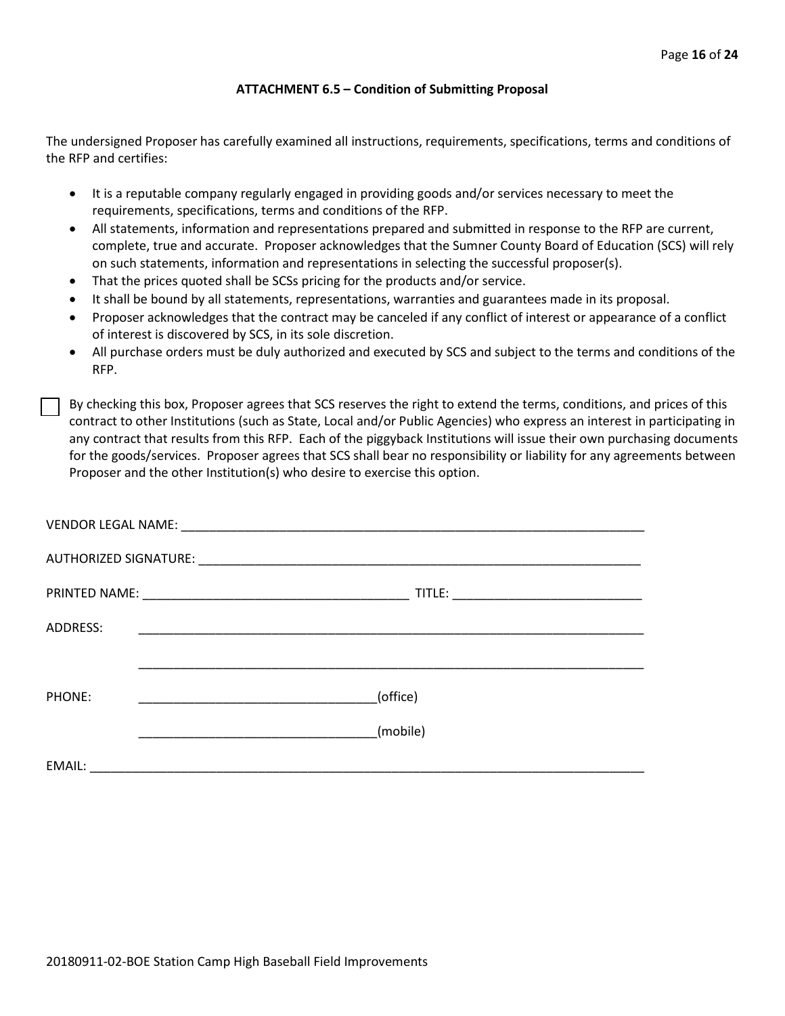#### **ATTACHMENT 6.5 – Condition of Submitting Proposal**

The undersigned Proposer has carefully examined all instructions, requirements, specifications, terms and conditions of the RFP and certifies:

- It is a reputable company regularly engaged in providing goods and/or services necessary to meet the requirements, specifications, terms and conditions of the RFP.
- All statements, information and representations prepared and submitted in response to the RFP are current, complete, true and accurate. Proposer acknowledges that the Sumner County Board of Education (SCS) will rely on such statements, information and representations in selecting the successful proposer(s).
- That the prices quoted shall be SCSs pricing for the products and/or service.
- It shall be bound by all statements, representations, warranties and guarantees made in its proposal.
- Proposer acknowledges that the contract may be canceled if any conflict of interest or appearance of a conflict of interest is discovered by SCS, in its sole discretion.
- All purchase orders must be duly authorized and executed by SCS and subject to the terms and conditions of the RFP.

By checking this box, Proposer agrees that SCS reserves the right to extend the terms, conditions, and prices of this contract to other Institutions (such as State, Local and/or Public Agencies) who express an interest in participating in any contract that results from this RFP. Each of the piggyback Institutions will issue their own purchasing documents for the goods/services. Proposer agrees that SCS shall bear no responsibility or liability for any agreements between Proposer and the other Institution(s) who desire to exercise this option.

| ADDRESS: |                                                                                                                       |
|----------|-----------------------------------------------------------------------------------------------------------------------|
|          |                                                                                                                       |
| PHONE:   | (office)<br><u> 1990 - Johann John Stone, mars eta biztanleria (</u>                                                  |
|          | (mobile)                                                                                                              |
| EMAIL:   | <u> 1980 - John Stein, mars and der Stein and der Stein and der Stein and der Stein and der Stein and der Stein a</u> |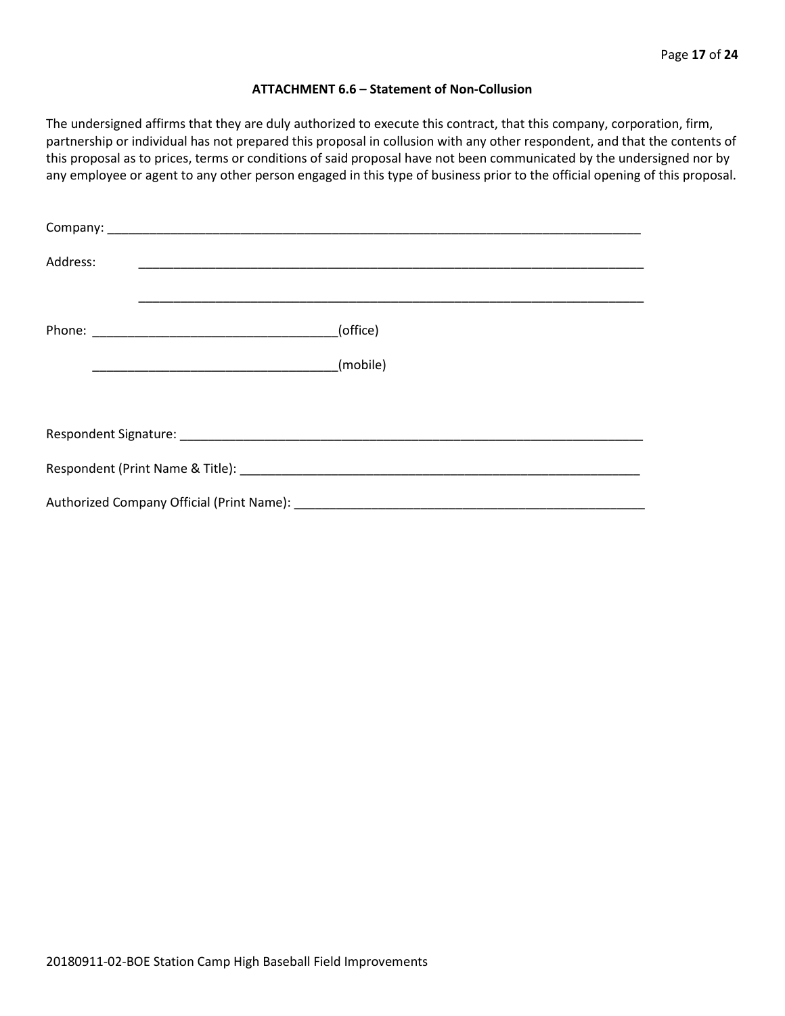#### **ATTACHMENT 6.6 – Statement of Non-Collusion**

The undersigned affirms that they are duly authorized to execute this contract, that this company, corporation, firm, partnership or individual has not prepared this proposal in collusion with any other respondent, and that the contents of this proposal as to prices, terms or conditions of said proposal have not been communicated by the undersigned nor by any employee or agent to any other person engaged in this type of business prior to the official opening of this proposal.

| Address: |          |
|----------|----------|
|          | (office) |
|          | (mobile) |
|          |          |
|          |          |
|          |          |
|          |          |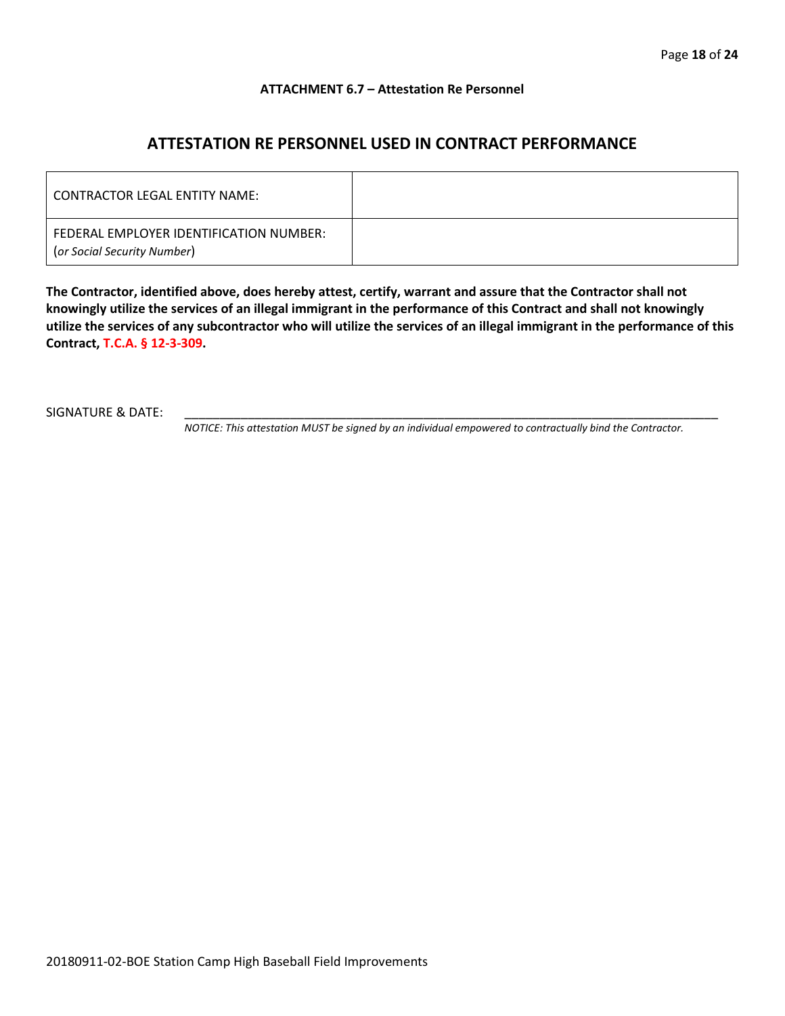#### **ATTACHMENT 6.7 – Attestation Re Personnel**

# **ATTESTATION RE PERSONNEL USED IN CONTRACT PERFORMANCE**

| CONTRACTOR LEGAL ENTITY NAME:                                          |  |
|------------------------------------------------------------------------|--|
| FEDERAL EMPLOYER IDENTIFICATION NUMBER:<br>(or Social Security Number) |  |

**The Contractor, identified above, does hereby attest, certify, warrant and assure that the Contractor shall not knowingly utilize the services of an illegal immigrant in the performance of this Contract and shall not knowingly utilize the services of any subcontractor who will utilize the services of an illegal immigrant in the performance of this Contract, T.C.A. § 12-3-309.**

SIGNATURE & DATE:

*NOTICE: This attestation MUST be signed by an individual empowered to contractually bind the Contractor.*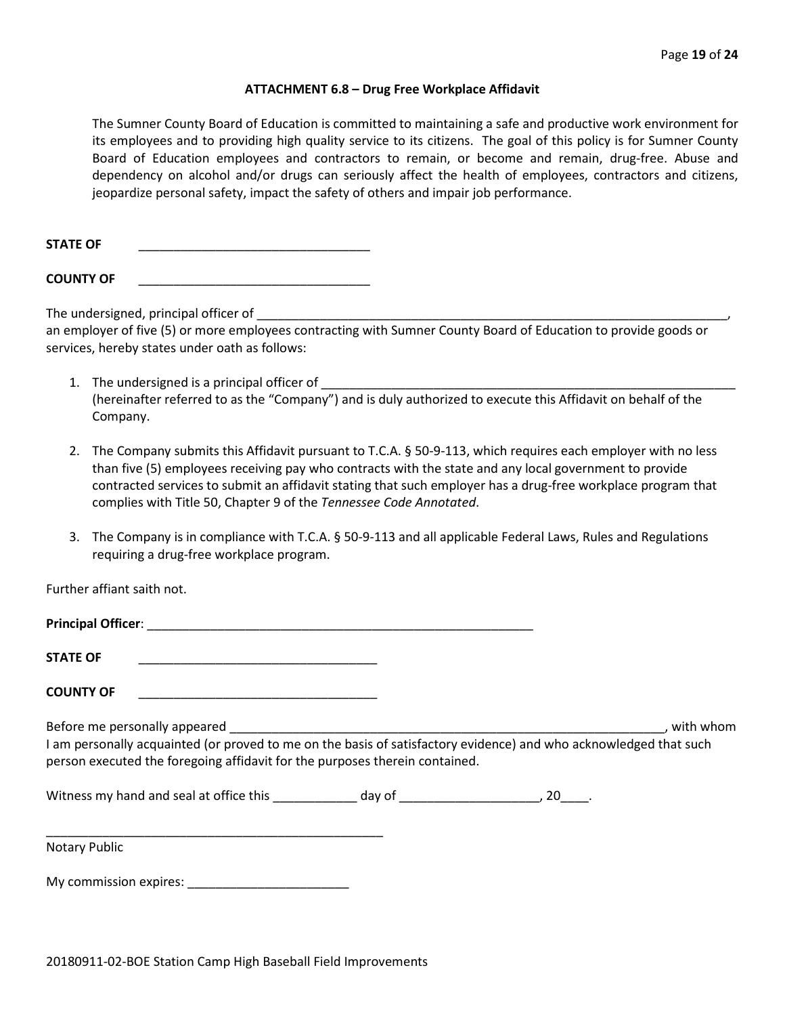#### **ATTACHMENT 6.8 – Drug Free Workplace Affidavit**

The Sumner County Board of Education is committed to maintaining a safe and productive work environment for its employees and to providing high quality service to its citizens. The goal of this policy is for Sumner County Board of Education employees and contractors to remain, or become and remain, drug-free. Abuse and dependency on alcohol and/or drugs can seriously affect the health of employees, contractors and citizens, jeopardize personal safety, impact the safety of others and impair job performance.

STATE OF

**COUNTY OF** \_\_\_\_\_\_\_\_\_\_\_\_\_\_\_\_\_\_\_\_\_\_\_\_\_\_\_\_\_\_\_\_\_

The undersigned, principal officer of

an employer of five (5) or more employees contracting with Sumner County Board of Education to provide goods or services, hereby states under oath as follows:

- 1. The undersigned is a principal officer of (hereinafter referred to as the "Company") and is duly authorized to execute this Affidavit on behalf of the Company.
- 2. The Company submits this Affidavit pursuant to T.C.A. § 50-9-113, which requires each employer with no less than five (5) employees receiving pay who contracts with the state and any local government to provide contracted services to submit an affidavit stating that such employer has a drug-free workplace program that complies with Title 50, Chapter 9 of the *Tennessee Code Annotated*.
- 3. The Company is in compliance with T.C.A. § 50-9-113 and all applicable Federal Laws, Rules and Regulations requiring a drug-free workplace program.

Further affiant saith not.

| <b>STATE OF</b><br><u> 1989 - Johann John Stone, markin film yn y system yn y system yn y system yn y system yn y system yn y system</u>                                                         |  |             |
|--------------------------------------------------------------------------------------------------------------------------------------------------------------------------------------------------|--|-------------|
| <b>COUNTY OF</b><br><u> 1990 - Johann John Stone, mars eta biztanleria (</u>                                                                                                                     |  |             |
| I am personally acquainted (or proved to me on the basis of satisfactory evidence) and who acknowledged that such<br>person executed the foregoing affidavit for the purposes therein contained. |  | , with whom |
|                                                                                                                                                                                                  |  |             |
| <b>Notary Public</b>                                                                                                                                                                             |  |             |
| My commission expires:                                                                                                                                                                           |  |             |

20180911-02-BOE Station Camp High Baseball Field Improvements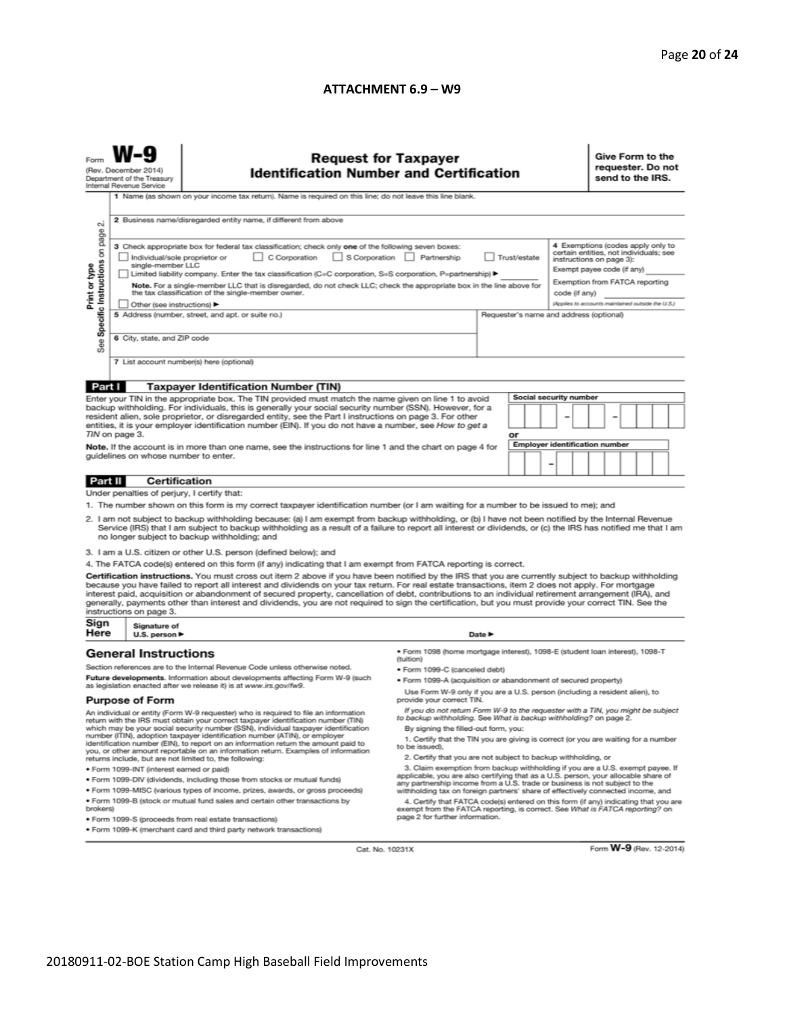#### **ATTACHMENT 6.9 – W9**

|                                                                                                                                                                                                                                                                                                                                                                                                                                                                                                                                                                                                                                                          | <b>Request for Taxpayer</b><br>(Rev. December 2014)<br><b>Identification Number and Certification</b><br>Department of the Treasury<br>Internal Revenue Service<br>1 Name (as shown on your income tax return). Name is required on this line; do not leave this line blank.                                                                    |                                                                                                                                                                          |                                                                                                           |  |   |                                                                                                                                                                |  | Give Form to the<br>requester. Do not<br>send to the IRS. |  |  |  |  |
|----------------------------------------------------------------------------------------------------------------------------------------------------------------------------------------------------------------------------------------------------------------------------------------------------------------------------------------------------------------------------------------------------------------------------------------------------------------------------------------------------------------------------------------------------------------------------------------------------------------------------------------------------------|-------------------------------------------------------------------------------------------------------------------------------------------------------------------------------------------------------------------------------------------------------------------------------------------------------------------------------------------------|--------------------------------------------------------------------------------------------------------------------------------------------------------------------------|-----------------------------------------------------------------------------------------------------------|--|---|----------------------------------------------------------------------------------------------------------------------------------------------------------------|--|-----------------------------------------------------------|--|--|--|--|
| 2 Business name/disregarded entity name, if different from above<br>N<br>4 Exemptions (codes apply only to<br>3 Check appropriate box for federal tax classification; check only one of the following seven boxes:<br>certain entities, not individuals; see<br>C Corporation S Corporation Partnership                                                                                                                                                                                                                                                                                                                                                  |                                                                                                                                                                                                                                                                                                                                                 |                                                                                                                                                                          |                                                                                                           |  |   |                                                                                                                                                                |  |                                                           |  |  |  |  |
| Specific Instructions on page<br>Individual/sole proprietor or<br>Trust/estate<br>Print or type<br>single-member LLC<br>Limited liability company. Enter the tax classification (C=C corporation, S=S corporation, P=partnership) ▶<br>Note. For a single-member LLC that is disregarded, do not check LLC; check the appropriate box in the line above for<br>the tax classification of the single-member owner.                                                                                                                                                                                                                                        |                                                                                                                                                                                                                                                                                                                                                 |                                                                                                                                                                          |                                                                                                           |  |   | instructions on page 3):<br>Exempt payee code (if any)<br>Exemption from FATCA reporting<br>code (if any)<br>(Applies to accounts maintained outside the U.S.) |  |                                                           |  |  |  |  |
| See                                                                                                                                                                                                                                                                                                                                                                                                                                                                                                                                                                                                                                                      | 6 City, state, and ZIP code                                                                                                                                                                                                                                                                                                                     | 5 Address (number, street, and apt. or suite no.)                                                                                                                        | Other (see instructions) ▶<br>Requester's name and address (optional)                                     |  |   |                                                                                                                                                                |  |                                                           |  |  |  |  |
|                                                                                                                                                                                                                                                                                                                                                                                                                                                                                                                                                                                                                                                          |                                                                                                                                                                                                                                                                                                                                                 | 7 List account number(s) here (optional)                                                                                                                                 |                                                                                                           |  |   |                                                                                                                                                                |  |                                                           |  |  |  |  |
| Part I                                                                                                                                                                                                                                                                                                                                                                                                                                                                                                                                                                                                                                                   |                                                                                                                                                                                                                                                                                                                                                 | <b>Taxpayer Identification Number (TIN)</b>                                                                                                                              |                                                                                                           |  |   |                                                                                                                                                                |  |                                                           |  |  |  |  |
| Social security number<br>Enter your TIN in the appropriate box. The TIN provided must match the name given on line 1 to avoid<br>backup withholding. For individuals, this is generally your social security number (SSN). However, for a<br>resident alien, sole proprietor, or disregarded entity, see the Part I instructions on page 3. For other                                                                                                                                                                                                                                                                                                   |                                                                                                                                                                                                                                                                                                                                                 |                                                                                                                                                                          |                                                                                                           |  |   |                                                                                                                                                                |  |                                                           |  |  |  |  |
|                                                                                                                                                                                                                                                                                                                                                                                                                                                                                                                                                                                                                                                          | TIN on page 3.                                                                                                                                                                                                                                                                                                                                  | entities, it is your employer identification number (EIN). If you do not have a number, see How to get a                                                                 | or                                                                                                        |  |   |                                                                                                                                                                |  |                                                           |  |  |  |  |
|                                                                                                                                                                                                                                                                                                                                                                                                                                                                                                                                                                                                                                                          |                                                                                                                                                                                                                                                                                                                                                 |                                                                                                                                                                          |                                                                                                           |  |   |                                                                                                                                                                |  | <b>Employer identification number</b>                     |  |  |  |  |
| Note. If the account is in more than one name, see the instructions for line 1 and the chart on page 4 for<br>guidelines on whose number to enter.                                                                                                                                                                                                                                                                                                                                                                                                                                                                                                       |                                                                                                                                                                                                                                                                                                                                                 |                                                                                                                                                                          |                                                                                                           |  | ۰ |                                                                                                                                                                |  |                                                           |  |  |  |  |
| Part II                                                                                                                                                                                                                                                                                                                                                                                                                                                                                                                                                                                                                                                  |                                                                                                                                                                                                                                                                                                                                                 | Certification                                                                                                                                                            |                                                                                                           |  |   |                                                                                                                                                                |  |                                                           |  |  |  |  |
|                                                                                                                                                                                                                                                                                                                                                                                                                                                                                                                                                                                                                                                          |                                                                                                                                                                                                                                                                                                                                                 | Under penalties of perjury, I certify that:                                                                                                                              |                                                                                                           |  |   |                                                                                                                                                                |  |                                                           |  |  |  |  |
| 1. The number shown on this form is my correct taxpayer identification number (or I am waiting for a number to be issued to me); and<br>2. I am not subject to backup withholding because: (a) I am exempt from backup withholding, or (b) I have not been notified by the Internal Revenue<br>Service (IRS) that I am subject to backup withholding as a result of a failure to report all interest or dividends, or (c) the IRS has notified me that I am<br>no longer subject to backup withholding; and                                                                                                                                              |                                                                                                                                                                                                                                                                                                                                                 |                                                                                                                                                                          |                                                                                                           |  |   |                                                                                                                                                                |  |                                                           |  |  |  |  |
|                                                                                                                                                                                                                                                                                                                                                                                                                                                                                                                                                                                                                                                          |                                                                                                                                                                                                                                                                                                                                                 | 3. I am a U.S. citizen or other U.S. person (defined below); and                                                                                                         |                                                                                                           |  |   |                                                                                                                                                                |  |                                                           |  |  |  |  |
|                                                                                                                                                                                                                                                                                                                                                                                                                                                                                                                                                                                                                                                          |                                                                                                                                                                                                                                                                                                                                                 | 4. The FATCA code(s) entered on this form (if any) indicating that I am exempt from FATCA reporting is correct.                                                          |                                                                                                           |  |   |                                                                                                                                                                |  |                                                           |  |  |  |  |
| Certification instructions. You must cross out item 2 above if you have been notified by the IRS that you are currently subject to backup withholding<br>because you have failed to report all interest and dividends on your tax return. For real estate transactions, item 2 does not apply. For mortgage<br>interest paid, acquisition or abandonment of secured property, cancellation of debt, contributions to an individual retirement arrangement (IRA), and<br>generally, payments other than interest and dividends, you are not required to sign the certification, but you must provide your correct TIN. See the<br>instructions on page 3. |                                                                                                                                                                                                                                                                                                                                                 |                                                                                                                                                                          |                                                                                                           |  |   |                                                                                                                                                                |  |                                                           |  |  |  |  |
| Sign<br>Here                                                                                                                                                                                                                                                                                                                                                                                                                                                                                                                                                                                                                                             | Signature of<br>U.S. person $\blacktriangleright$                                                                                                                                                                                                                                                                                               | Date P                                                                                                                                                                   |                                                                                                           |  |   |                                                                                                                                                                |  |                                                           |  |  |  |  |
|                                                                                                                                                                                                                                                                                                                                                                                                                                                                                                                                                                                                                                                          | <b>General Instructions</b>                                                                                                                                                                                                                                                                                                                     | ● Form 1098 (home mortgage interest), 1098-E (student loan interest), 1098-T<br>(tuition)<br>Section references are to the Internal Revenue Code unless otherwise noted. |                                                                                                           |  |   |                                                                                                                                                                |  |                                                           |  |  |  |  |
|                                                                                                                                                                                                                                                                                                                                                                                                                                                                                                                                                                                                                                                          |                                                                                                                                                                                                                                                                                                                                                 | · Form 1099-C (canceled debt)<br>Future developments. Information about developments affecting Form W-9 (such                                                            |                                                                                                           |  |   |                                                                                                                                                                |  |                                                           |  |  |  |  |
|                                                                                                                                                                                                                                                                                                                                                                                                                                                                                                                                                                                                                                                          | · Form 1099-A (acquisition or abandonment of secured property)<br>as legislation enacted after we release it) is at www.irs.gov/fw9.<br>Use Form W-9 only if you are a U.S. person (including a resident alien), to                                                                                                                             |                                                                                                                                                                          |                                                                                                           |  |   |                                                                                                                                                                |  |                                                           |  |  |  |  |
| <b>Purpose of Form</b><br>provide your correct TIN.<br>If you do not return Form W-9 to the requester with a TIN, you might be subject                                                                                                                                                                                                                                                                                                                                                                                                                                                                                                                   |                                                                                                                                                                                                                                                                                                                                                 |                                                                                                                                                                          |                                                                                                           |  |   |                                                                                                                                                                |  |                                                           |  |  |  |  |
| An individual or entity (Form W-9 requester) who is required to file an information<br>return with the IRS must obtain your correct taxpayer identification number (TIN)<br>which may be your social security number (SSN), individual taxpayer identification                                                                                                                                                                                                                                                                                                                                                                                           |                                                                                                                                                                                                                                                                                                                                                 |                                                                                                                                                                          | to backup withholding. See What is backup withholding? on page 2.<br>By signing the filled-out form, you: |  |   |                                                                                                                                                                |  |                                                           |  |  |  |  |
| number (ITIN), adoption taxpayer identification number (ATIN), or employer<br>1. Certify that the TIN you are giving is correct (or you are waiting for a number<br>identification number (EIN), to report on an information return the amount paid to<br>to be issued).                                                                                                                                                                                                                                                                                                                                                                                 |                                                                                                                                                                                                                                                                                                                                                 |                                                                                                                                                                          |                                                                                                           |  |   |                                                                                                                                                                |  |                                                           |  |  |  |  |
|                                                                                                                                                                                                                                                                                                                                                                                                                                                                                                                                                                                                                                                          | you, or other amount reportable on an information return. Examples of information<br>2. Certify that you are not subject to backup withholding, or                                                                                                                                                                                              |                                                                                                                                                                          |                                                                                                           |  |   |                                                                                                                                                                |  |                                                           |  |  |  |  |
| returns include, but are not limited to, the following:<br>3. Claim exemption from backup withholding if you are a U.S. exempt payee. If<br>· Form 1099-INT (interest earned or paid)                                                                                                                                                                                                                                                                                                                                                                                                                                                                    |                                                                                                                                                                                                                                                                                                                                                 |                                                                                                                                                                          |                                                                                                           |  |   |                                                                                                                                                                |  |                                                           |  |  |  |  |
| applicable, you are also certifying that as a U.S. person, your allocable share of<br>. Form 1099-DIV (dividends, including those from stocks or mutual funds)                                                                                                                                                                                                                                                                                                                                                                                                                                                                                           |                                                                                                                                                                                                                                                                                                                                                 |                                                                                                                                                                          |                                                                                                           |  |   |                                                                                                                                                                |  |                                                           |  |  |  |  |
|                                                                                                                                                                                                                                                                                                                                                                                                                                                                                                                                                                                                                                                          | any partnership income from a U.S. trade or business is not subject to the<br>. Form 1099-MISC (various types of income, prizes, awards, or gross proceeds)<br>withholding tax on foreign partners' share of effectively connected income, and                                                                                                  |                                                                                                                                                                          |                                                                                                           |  |   |                                                                                                                                                                |  |                                                           |  |  |  |  |
| brokers)                                                                                                                                                                                                                                                                                                                                                                                                                                                                                                                                                                                                                                                 | . Form 1099-B (stock or mutual fund sales and certain other transactions by<br>4. Certify that FATCA code(s) entered on this form (if any) indicating that you are<br>exempt from the FATCA reporting, is correct. See What is FATCA reporting? on<br>page 2 for further information.<br>· Form 1099-S (proceeds from real estate transactions) |                                                                                                                                                                          |                                                                                                           |  |   |                                                                                                                                                                |  |                                                           |  |  |  |  |
|                                                                                                                                                                                                                                                                                                                                                                                                                                                                                                                                                                                                                                                          | . Form 1099-K (merchant card and third party network transactions)                                                                                                                                                                                                                                                                              |                                                                                                                                                                          |                                                                                                           |  |   |                                                                                                                                                                |  |                                                           |  |  |  |  |

Cat. No. 10231X

Form W-9 (Rev. 12-2014)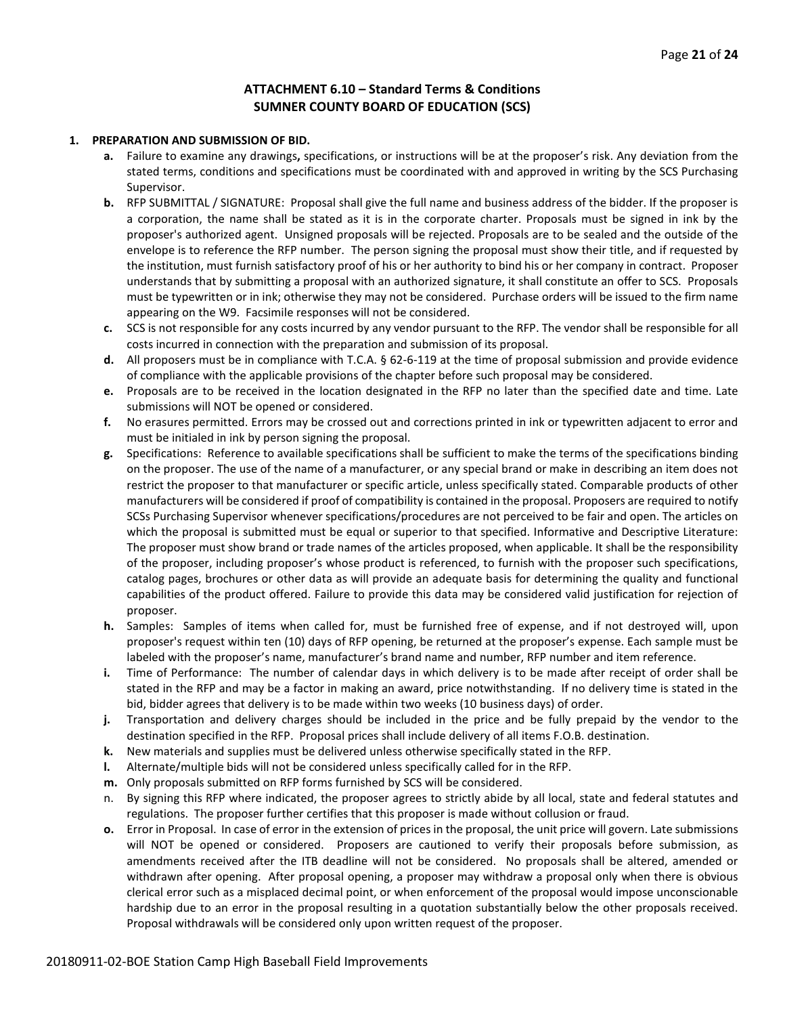# **ATTACHMENT 6.10 – Standard Terms & Conditions SUMNER COUNTY BOARD OF EDUCATION (SCS)**

#### **1. PREPARATION AND SUBMISSION OF BID.**

- **a.** Failure to examine any drawings**,** specifications, or instructions will be at the proposer's risk. Any deviation from the stated terms, conditions and specifications must be coordinated with and approved in writing by the SCS Purchasing Supervisor.
- **b.** RFP SUBMITTAL / SIGNATURE: Proposal shall give the full name and business address of the bidder. If the proposer is a corporation, the name shall be stated as it is in the corporate charter. Proposals must be signed in ink by the proposer's authorized agent. Unsigned proposals will be rejected. Proposals are to be sealed and the outside of the envelope is to reference the RFP number. The person signing the proposal must show their title, and if requested by the institution, must furnish satisfactory proof of his or her authority to bind his or her company in contract. Proposer understands that by submitting a proposal with an authorized signature, it shall constitute an offer to SCS. Proposals must be typewritten or in ink; otherwise they may not be considered. Purchase orders will be issued to the firm name appearing on the W9. Facsimile responses will not be considered.
- **c.** SCS is not responsible for any costs incurred by any vendor pursuant to the RFP. The vendor shall be responsible for all costs incurred in connection with the preparation and submission of its proposal.
- **d.** All proposers must be in compliance with T.C.A. § 62-6-119 at the time of proposal submission and provide evidence of compliance with the applicable provisions of the chapter before such proposal may be considered.
- **e.** Proposals are to be received in the location designated in the RFP no later than the specified date and time. Late submissions will NOT be opened or considered.
- **f.** No erasures permitted. Errors may be crossed out and corrections printed in ink or typewritten adjacent to error and must be initialed in ink by person signing the proposal.
- **g.** Specifications: Reference to available specifications shall be sufficient to make the terms of the specifications binding on the proposer. The use of the name of a manufacturer, or any special brand or make in describing an item does not restrict the proposer to that manufacturer or specific article, unless specifically stated. Comparable products of other manufacturers will be considered if proof of compatibility is contained in the proposal. Proposers are required to notify SCSs Purchasing Supervisor whenever specifications/procedures are not perceived to be fair and open. The articles on which the proposal is submitted must be equal or superior to that specified. Informative and Descriptive Literature: The proposer must show brand or trade names of the articles proposed, when applicable. It shall be the responsibility of the proposer, including proposer's whose product is referenced, to furnish with the proposer such specifications, catalog pages, brochures or other data as will provide an adequate basis for determining the quality and functional capabilities of the product offered. Failure to provide this data may be considered valid justification for rejection of proposer.
- **h.** Samples: Samples of items when called for, must be furnished free of expense, and if not destroyed will, upon proposer's request within ten (10) days of RFP opening, be returned at the proposer's expense. Each sample must be labeled with the proposer's name, manufacturer's brand name and number, RFP number and item reference.
- **i.** Time of Performance: The number of calendar days in which delivery is to be made after receipt of order shall be stated in the RFP and may be a factor in making an award, price notwithstanding. If no delivery time is stated in the bid, bidder agrees that delivery is to be made within two weeks (10 business days) of order.
- **j.** Transportation and delivery charges should be included in the price and be fully prepaid by the vendor to the destination specified in the RFP. Proposal prices shall include delivery of all items F.O.B. destination.
- **k.** New materials and supplies must be delivered unless otherwise specifically stated in the RFP.
- **l.** Alternate/multiple bids will not be considered unless specifically called for in the RFP.
- **m.** Only proposals submitted on RFP forms furnished by SCS will be considered.
- n. By signing this RFP where indicated, the proposer agrees to strictly abide by all local, state and federal statutes and regulations. The proposer further certifies that this proposer is made without collusion or fraud.
- **o.** Error in Proposal. In case of error in the extension of prices in the proposal, the unit price will govern. Late submissions will NOT be opened or considered. Proposers are cautioned to verify their proposals before submission, as amendments received after the ITB deadline will not be considered. No proposals shall be altered, amended or withdrawn after opening. After proposal opening, a proposer may withdraw a proposal only when there is obvious clerical error such as a misplaced decimal point, or when enforcement of the proposal would impose unconscionable hardship due to an error in the proposal resulting in a quotation substantially below the other proposals received. Proposal withdrawals will be considered only upon written request of the proposer.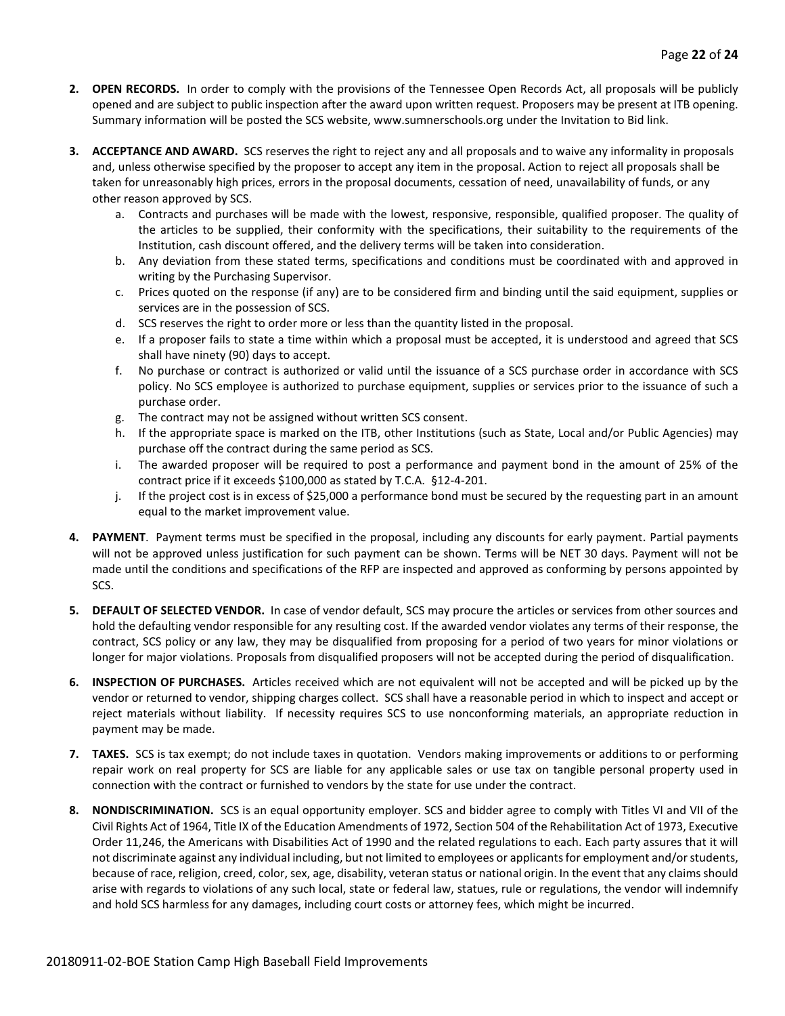- **2. OPEN RECORDS.** In order to comply with the provisions of the Tennessee Open Records Act, all proposals will be publicly opened and are subject to public inspection after the award upon written request. Proposers may be present at ITB opening. Summary information will be posted the SCS website, www.sumnerschools.org under the Invitation to Bid link.
- **3. ACCEPTANCE AND AWARD.** SCS reserves the right to reject any and all proposals and to waive any informality in proposals and, unless otherwise specified by the proposer to accept any item in the proposal. Action to reject all proposals shall be taken for unreasonably high prices, errors in the proposal documents, cessation of need, unavailability of funds, or any other reason approved by SCS.
	- a. Contracts and purchases will be made with the lowest, responsive, responsible, qualified proposer. The quality of the articles to be supplied, their conformity with the specifications, their suitability to the requirements of the Institution, cash discount offered, and the delivery terms will be taken into consideration.
	- b. Any deviation from these stated terms, specifications and conditions must be coordinated with and approved in writing by the Purchasing Supervisor.
	- c. Prices quoted on the response (if any) are to be considered firm and binding until the said equipment, supplies or services are in the possession of SCS.
	- d. SCS reserves the right to order more or less than the quantity listed in the proposal.
	- e. If a proposer fails to state a time within which a proposal must be accepted, it is understood and agreed that SCS shall have ninety (90) days to accept.
	- f. No purchase or contract is authorized or valid until the issuance of a SCS purchase order in accordance with SCS policy. No SCS employee is authorized to purchase equipment, supplies or services prior to the issuance of such a purchase order.
	- g. The contract may not be assigned without written SCS consent.
	- h. If the appropriate space is marked on the ITB, other Institutions (such as State, Local and/or Public Agencies) may purchase off the contract during the same period as SCS.
	- i. The awarded proposer will be required to post a performance and payment bond in the amount of 25% of the contract price if it exceeds \$100,000 as stated by T.C.A. §12-4-201.
	- j. If the project cost is in excess of \$25,000 a performance bond must be secured by the requesting part in an amount equal to the market improvement value.
- **4. PAYMENT**. Payment terms must be specified in the proposal, including any discounts for early payment. Partial payments will not be approved unless justification for such payment can be shown. Terms will be NET 30 days. Payment will not be made until the conditions and specifications of the RFP are inspected and approved as conforming by persons appointed by SCS.
- **5. DEFAULT OF SELECTED VENDOR.** In case of vendor default, SCS may procure the articles or services from other sources and hold the defaulting vendor responsible for any resulting cost. If the awarded vendor violates any terms of their response, the contract, SCS policy or any law, they may be disqualified from proposing for a period of two years for minor violations or longer for major violations. Proposals from disqualified proposers will not be accepted during the period of disqualification.
- **6. INSPECTION OF PURCHASES.** Articles received which are not equivalent will not be accepted and will be picked up by the vendor or returned to vendor, shipping charges collect. SCS shall have a reasonable period in which to inspect and accept or reject materials without liability. If necessity requires SCS to use nonconforming materials, an appropriate reduction in payment may be made.
- **7. TAXES.** SCS is tax exempt; do not include taxes in quotation. Vendors making improvements or additions to or performing repair work on real property for SCS are liable for any applicable sales or use tax on tangible personal property used in connection with the contract or furnished to vendors by the state for use under the contract.
- **8. NONDISCRIMINATION.** SCS is an equal opportunity employer. SCS and bidder agree to comply with Titles VI and VII of the Civil Rights Act of 1964, Title IX of the Education Amendments of 1972, Section 504 of the Rehabilitation Act of 1973, Executive Order 11,246, the Americans with Disabilities Act of 1990 and the related regulations to each. Each party assures that it will not discriminate against any individual including, but not limited to employees or applicants for employment and/or students, because of race, religion, creed, color, sex, age, disability, veteran status or national origin. In the event that any claims should arise with regards to violations of any such local, state or federal law, statues, rule or regulations, the vendor will indemnify and hold SCS harmless for any damages, including court costs or attorney fees, which might be incurred.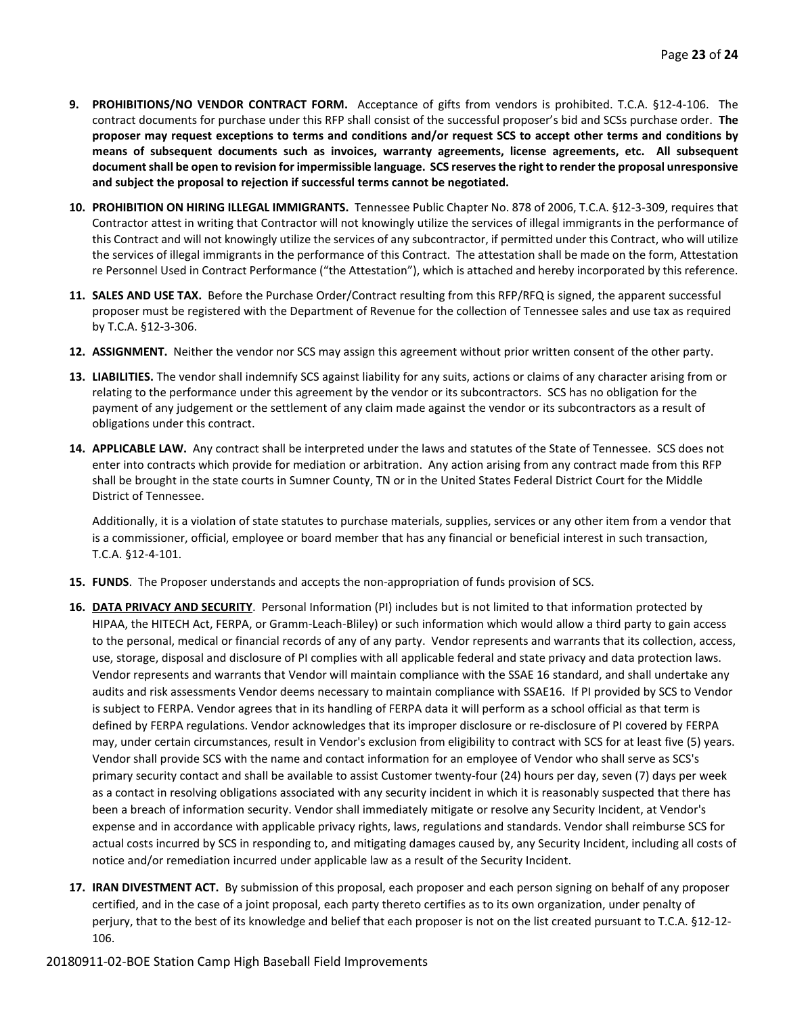- **9. PROHIBITIONS/NO VENDOR CONTRACT FORM.** Acceptance of gifts from vendors is prohibited. T.C.A. §12-4-106. The contract documents for purchase under this RFP shall consist of the successful proposer's bid and SCSs purchase order. **The proposer may request exceptions to terms and conditions and/or request SCS to accept other terms and conditions by means of subsequent documents such as invoices, warranty agreements, license agreements, etc. All subsequent document shall be open to revision for impermissible language. SCS reserves the right to render the proposal unresponsive and subject the proposal to rejection if successful terms cannot be negotiated.**
- **10. PROHIBITION ON HIRING ILLEGAL IMMIGRANTS.** Tennessee Public Chapter No. 878 of 2006, T.C.A. §12-3-309, requires that Contractor attest in writing that Contractor will not knowingly utilize the services of illegal immigrants in the performance of this Contract and will not knowingly utilize the services of any subcontractor, if permitted under this Contract, who will utilize the services of illegal immigrants in the performance of this Contract. The attestation shall be made on the form, Attestation re Personnel Used in Contract Performance ("the Attestation"), which is attached and hereby incorporated by this reference.
- **11. SALES AND USE TAX.** Before the Purchase Order/Contract resulting from this RFP/RFQ is signed, the apparent successful proposer must be registered with the Department of Revenue for the collection of Tennessee sales and use tax as required by T.C.A. §12-3-306.
- **12. ASSIGNMENT.** Neither the vendor nor SCS may assign this agreement without prior written consent of the other party.
- **13. LIABILITIES.** The vendor shall indemnify SCS against liability for any suits, actions or claims of any character arising from or relating to the performance under this agreement by the vendor or its subcontractors. SCS has no obligation for the payment of any judgement or the settlement of any claim made against the vendor or its subcontractors as a result of obligations under this contract.
- **14. APPLICABLE LAW.** Any contract shall be interpreted under the laws and statutes of the State of Tennessee. SCS does not enter into contracts which provide for mediation or arbitration. Any action arising from any contract made from this RFP shall be brought in the state courts in Sumner County, TN or in the United States Federal District Court for the Middle District of Tennessee.

Additionally, it is a violation of state statutes to purchase materials, supplies, services or any other item from a vendor that is a commissioner, official, employee or board member that has any financial or beneficial interest in such transaction, T.C.A. §12-4-101.

- **15. FUNDS**. The Proposer understands and accepts the non-appropriation of funds provision of SCS.
- **16. DATA PRIVACY AND SECURITY**. Personal Information (PI) includes but is not limited to that information protected by HIPAA, the HITECH Act, FERPA, or Gramm-Leach-Bliley) or such information which would allow a third party to gain access to the personal, medical or financial records of any of any party. Vendor represents and warrants that its collection, access, use, storage, disposal and disclosure of PI complies with all applicable federal and state privacy and data protection laws. Vendor represents and warrants that Vendor will maintain compliance with the SSAE 16 standard, and shall undertake any audits and risk assessments Vendor deems necessary to maintain compliance with SSAE16. If PI provided by SCS to Vendor is subject to FERPA. Vendor agrees that in its handling of FERPA data it will perform as a school official as that term is defined by FERPA regulations. Vendor acknowledges that its improper disclosure or re-disclosure of PI covered by FERPA may, under certain circumstances, result in Vendor's exclusion from eligibility to contract with SCS for at least five (5) years. Vendor shall provide SCS with the name and contact information for an employee of Vendor who shall serve as SCS's primary security contact and shall be available to assist Customer twenty-four (24) hours per day, seven (7) days per week as a contact in resolving obligations associated with any security incident in which it is reasonably suspected that there has been a breach of information security. Vendor shall immediately mitigate or resolve any Security Incident, at Vendor's expense and in accordance with applicable privacy rights, laws, regulations and standards. Vendor shall reimburse SCS for actual costs incurred by SCS in responding to, and mitigating damages caused by, any Security Incident, including all costs of notice and/or remediation incurred under applicable law as a result of the Security Incident.
- **17. IRAN DIVESTMENT ACT.** By submission of this proposal, each proposer and each person signing on behalf of any proposer certified, and in the case of a joint proposal, each party thereto certifies as to its own organization, under penalty of perjury, that to the best of its knowledge and belief that each proposer is not on the list created pursuant to T.C.A. §12-12- 106.